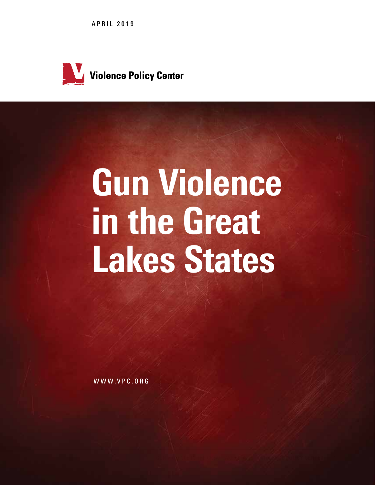APRIL 2019



# Gun Violence in the Great Lakes States

WWW.VPC.ORG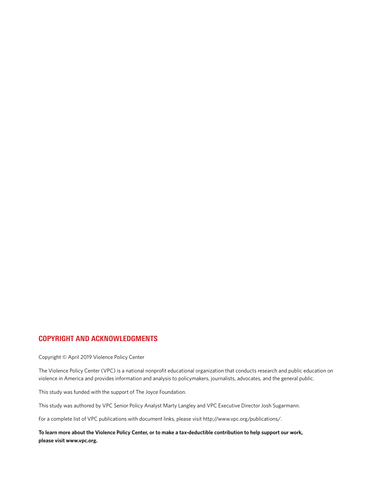# COPYRIGHT AND ACKNOWLEDGMENTS

Copyright © April 2019 Violence Policy Center

The Violence Policy Center (VPC) is a national nonprofit educational organization that conducts research and public education on violence in America and provides information and analysis to policymakers, journalists, advocates, and the general public.

This study was funded with the support of The Joyce Foundation.

This study was authored by VPC Senior Policy Analyst Marty Langley and VPC Executive Director Josh Sugarmann.

For a complete list of VPC publications with document links, please visit http://www.vpc.org/publications/.

**To learn more about the Violence Policy Center, or to make a tax-deductible contribution to help support our work, please visit www.vpc.org.**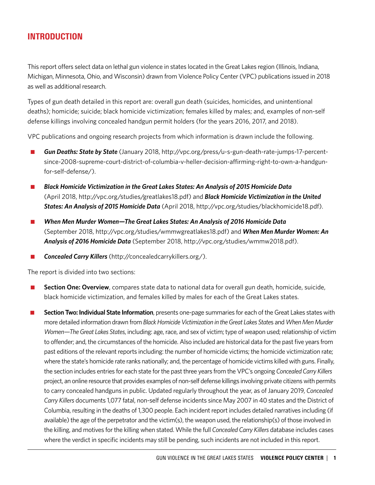# INTRODUCTION

This report offers select data on lethal gun violence in states located in the Great Lakes region (Illinois, Indiana, Michigan, Minnesota, Ohio, and Wisconsin) drawn from Violence Policy Center (VPC) publications issued in 2018 as well as additional research.

Types of gun death detailed in this report are: overall gun death (suicides, homicides, and unintentional deaths); homicide; suicide; black homicide victimization; females killed by males; and, examples of non-self defense killings involving concealed handgun permit holders (for the years 2016, 2017, and 2018).

VPC publications and ongoing research projects from which information is drawn include the following.

- n *Gun Deaths: State by State* (January 2018, http://vpc.org/press/u-s-gun-death-rate-jumps-17-percentsince-2008-supreme-court-district-of-columbia-v-heller-decision-affirming-right-to-own-a-handgunfor-self-defense/).
- *Black Homicide Victimization in the Great Lakes States: An Analysis of 2015 Homicide Data* (April 2018, http://vpc.org/studies/greatlakes18.pdf) and *Black Homicide Victimization in the United States: An Analysis of 2015 Homicide Data* (April 2018, http://vpc.org/studies/blackhomicide18.pdf).
- When Men Murder Women-The Great Lakes States: An Analysis of 2016 Homicide Data (September 2018, http://vpc.org/studies/wmmwgreatlakes18.pdf) and *When Men Murder Women: An Analysis of 2016 Homicide Data* (September 2018, http://vpc.org/studies/wmmw2018.pdf).

Concealed Carry Killers (http://concealedcarrykillers.org/).

The report is divided into two sections:

- **n Section One: Overview**, compares state data to national data for overall gun death, homicide, suicide, black homicide victimization, and females killed by males for each of the Great Lakes states.
- **n Section Two: Individual State Information**, presents one-page summaries for each of the Great Lakes states with more detailed information drawn from *Black Homicide Victimization in the Great Lakes State*s and *When Men Murder Women—The Great Lakes States*, including: age, race, and sex of victim; type of weapon used; relationship of victim to offender; and, the circumstances of the homicide. Also included are historical data for the past five years from past editions of the relevant reports including: the number of homicide victims; the homicide victimization rate; where the state's homicide rate ranks nationally; and, the percentage of homicide victims killed with guns. Finally, the section includes entries for each state for the past three years from the VPC's ongoing *Concealed Carry Killers* project, an online resource that provides examples of non-self defense killings involving private citizens with permits to carry concealed handguns in public. Updated regularly throughout the year, as of January 2019, *Concealed Carry Killers* documents 1,077 fatal, non-self defense incidents since May 2007 in 40 states and the District of Columbia, resulting in the deaths of 1,300 people. Each incident report includes detailed narratives including (if available) the age of the perpetrator and the victim(s), the weapon used, the relationship(s) of those involved in the killing, and motives for the killing when stated. While the full *Concealed Carry Killers* database includes cases where the verdict in specific incidents may still be pending, such incidents are not included in this report.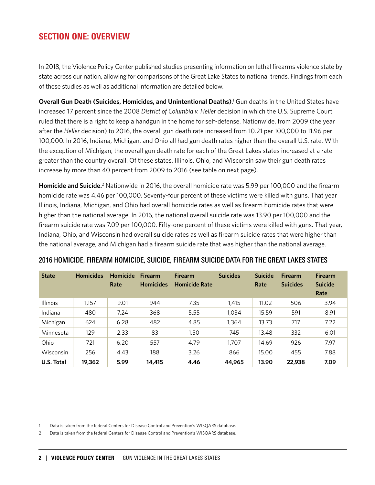# SECTION ONE: OVERVIEW

In 2018, the Violence Policy Center published studies presenting information on lethal firearms violence state by state across our nation, allowing for comparisons of the Great Lake States to national trends. Findings from each of these studies as well as additional information are detailed below.

**Overall Gun Death (Suicides, Homicides, and Unintentional Deaths)**. 1 Gun deaths in the United States have increased 17 percent since the 2008 *District of Columbia v. Heller* decision in which the U.S. Supreme Court ruled that there is a right to keep a handgun in the home for self-defense. Nationwide, from 2009 (the year after the *Heller* decision) to 2016, the overall gun death rate increased from 10.21 per 100,000 to 11.96 per 100,000. In 2016, Indiana, Michigan, and Ohio all had gun death rates higher than the overall U.S. rate. With the exception of Michigan, the overall gun death rate for each of the Great Lakes states increased at a rate greater than the country overall. Of these states, Illinois, Ohio, and Wisconsin saw their gun death rates increase by more than 40 percent from 2009 to 2016 (see table on next page).

Homicide and Suicide.<sup>2</sup> Nationwide in 2016, the overall homicide rate was 5.99 per 100,000 and the firearm homicide rate was 4.46 per 100,000. Seventy-four percent of these victims were killed with guns. That year Illinois, Indiana, Michigan, and Ohio had overall homicide rates as well as firearm homicide rates that were higher than the national average. In 2016, the national overall suicide rate was 13.90 per 100,000 and the firearm suicide rate was 7.09 per 100,000. Fifty-one percent of these victims were killed with guns. That year, Indiana, Ohio, and Wisconsin had overall suicide rates as well as firearm suicide rates that were higher than the national average, and Michigan had a firearm suicide rate that was higher than the national average.

| <b>State</b>    | <b>Homicides</b> | <b>Homicide</b><br>Rate | <b>Firearm</b><br><b>Homicides</b> | <b>Firearm</b><br><b>Homicide Rate</b> | <b>Suicides</b> | <b>Suicide</b><br>Rate | <b>Firearm</b><br><b>Suicides</b> | <b>Firearm</b><br><b>Suicide</b><br>Rate |
|-----------------|------------------|-------------------------|------------------------------------|----------------------------------------|-----------------|------------------------|-----------------------------------|------------------------------------------|
| <b>Illinois</b> | 1.157            | 9.01                    | 944                                | 7.35                                   | 1.415           | 11.02                  | 506                               | 3.94                                     |
| Indiana         | 480              | 7.24                    | 368                                | 5.55                                   | 1,034           | 15.59                  | 591                               | 8.91                                     |
| Michigan        | 624              | 6.28                    | 482                                | 4.85                                   | 1,364           | 13.73                  | 717                               | 7.22                                     |
| Minnesota       | 129              | 2.33                    | 83                                 | 1.50                                   | 745             | 13.48                  | 332                               | 6.01                                     |
| Ohio            | 721              | 6.20                    | 557                                | 4.79                                   | 1,707           | 14.69                  | 926                               | 7.97                                     |
| Wisconsin       | 256              | 4.43                    | 188                                | 3.26                                   | 866             | 15.00                  | 455                               | 7.88                                     |
| U.S. Total      | 19,362           | 5.99                    | 14,415                             | 4.46                                   | 44,965          | 13.90                  | 22,938                            | 7.09                                     |

# 2016 HOMICIDE, FIREARM HOMICIDE, SUICIDE, FIREARM SUICIDE DATA FOR THE GREAT LAKES STATES

1 Data is taken from the federal Centers for Disease Control and Prevention's WISQARS database.

2 Data is taken from the federal Centers for Disease Control and Prevention's WISQARS database.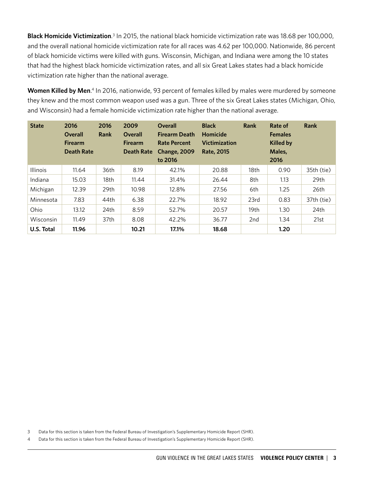**Black Homicide Victimization**.<sup>3</sup> In 2015, the national black homicide victimization rate was 18.68 per 100,000, and the overall national homicide victimization rate for all races was 4.62 per 100,000. Nationwide, 86 percent of black homicide victims were killed with guns. Wisconsin, Michigan, and Indiana were among the 10 states that had the highest black homicide victimization rates, and all six Great Lakes states had a black homicide victimization rate higher than the national average.

Women Killed by Men.<sup>4</sup> In 2016, nationwide, 93 percent of females killed by males were murdered by someone they knew and the most common weapon used was a gun. Three of the six Great Lakes states (Michigan, Ohio, and Wisconsin) had a female homicide victimization rate higher than the national average.

| <b>State</b>    | 2016<br>Overall<br><b>Firearm</b><br><b>Death Rate</b> | 2016<br>Rank | 2009<br><b>Overall</b><br><b>Firearm</b><br><b>Death Rate</b> | <b>Overall</b><br><b>Firearm Death</b><br><b>Rate Percent</b><br><b>Change, 2009</b><br>to 2016 | <b>Black</b><br><b>Homicide</b><br><b>Victimization</b><br><b>Rate, 2015</b> | Rank | Rate of<br><b>Females</b><br><b>Killed by</b><br>Males,<br>2016 | Rank             |
|-----------------|--------------------------------------------------------|--------------|---------------------------------------------------------------|-------------------------------------------------------------------------------------------------|------------------------------------------------------------------------------|------|-----------------------------------------------------------------|------------------|
| <b>Illinois</b> | 11.64                                                  | 36th         | 8.19                                                          | 42.1%                                                                                           | 20.88                                                                        | 18th | 0.90                                                            | 35th (tie)       |
| Indiana         | 15.03                                                  | 18th         | 11.44                                                         | 31.4%                                                                                           | 26.44                                                                        | 8th  | 1.13                                                            | 29th             |
| Michigan        | 12.39                                                  | 29th         | 10.98                                                         | 12.8%                                                                                           | 27.56                                                                        | 6th  | 1.25                                                            | 26th             |
| Minnesota       | 7.83                                                   | 44th         | 6.38                                                          | 22.7%                                                                                           | 18.92                                                                        | 23rd | 0.83                                                            | 37th (tie)       |
| Ohio            | 13.12                                                  | 24th         | 8.59                                                          | 52.7%                                                                                           | 20.57                                                                        | 19th | 1.30                                                            | 24 <sub>th</sub> |
| Wisconsin       | 11.49                                                  | 37th         | 8.08                                                          | 42.2%                                                                                           | 36.77                                                                        | 2nd  | 1.34                                                            | 21st             |
| U.S. Total      | 11.96                                                  |              | 10.21                                                         | 17.1%                                                                                           | 18.68                                                                        |      | 1.20                                                            |                  |

3 Data for this section is taken from the Federal Bureau of Investigation's Supplementary Homicide Report (SHR).

4 Data for this section is taken from the Federal Bureau of Investigation's Supplementary Homicide Report (SHR).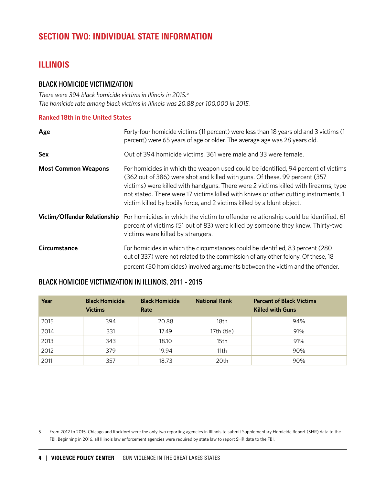# SECTION TWO: INDIVIDUAL STATE INFORMATION

# ILLINOIS

# BLACK HOMICIDE VICTIMIZATION

*There were 394 black homicide victims in Illinois in 2015.*<sup>5</sup> *The homicide rate among black victims in Illinois was 20.88 per 100,000 in 2015.*

# **Ranked 18th in the United States**

| Age                                 | Forty-four homicide victims (11 percent) were less than 18 years old and 3 victims (1<br>percent) were 65 years of age or older. The average age was 28 years old.                                                                                                                                                                                                                                                       |
|-------------------------------------|--------------------------------------------------------------------------------------------------------------------------------------------------------------------------------------------------------------------------------------------------------------------------------------------------------------------------------------------------------------------------------------------------------------------------|
| <b>Sex</b>                          | Out of 394 homicide victims, 361 were male and 33 were female.                                                                                                                                                                                                                                                                                                                                                           |
| <b>Most Common Weapons</b>          | For homicides in which the weapon used could be identified, 94 percent of victims<br>(362 out of 386) were shot and killed with guns. Of these, 99 percent (357<br>victims) were killed with handguns. There were 2 victims killed with firearms, type<br>not stated. There were 17 victims killed with knives or other cutting instruments, 1<br>victim killed by bodily force, and 2 victims killed by a blunt object. |
| <b>Victim/Offender Relationship</b> | For homicides in which the victim to offender relationship could be identified, 61<br>percent of victims (51 out of 83) were killed by someone they knew. Thirty-two<br>victims were killed by strangers.                                                                                                                                                                                                                |
| Circumstance                        | For homicides in which the circumstances could be identified, 83 percent (280)<br>out of 337) were not related to the commission of any other felony. Of these, 18<br>percent (50 homicides) involved arguments between the victim and the offender.                                                                                                                                                                     |

# BLACK HOMICIDE VICTIMIZATION IN ILLINOIS, 2011 - 2015

| Year | <b>Black Homicide</b><br><b>Victims</b> | <b>Black Homicide</b><br>Rate | <b>National Rank</b> | <b>Percent of Black Victims</b><br><b>Killed with Guns</b> |
|------|-----------------------------------------|-------------------------------|----------------------|------------------------------------------------------------|
| 2015 | 394                                     | 20.88                         | 18th                 | 94%                                                        |
| 2014 | 331                                     | 17.49                         | 17th (tie)           | 91%                                                        |
| 2013 | 343                                     | 18.10                         | 15th                 | 91%                                                        |
| 2012 | 379                                     | 19.94                         | 11th                 | 90%                                                        |
| 2011 | 357                                     | 18.73                         | 20th                 | 90%                                                        |

5 From 2012 to 2015, Chicago and Rockford were the only two reporting agencies in Illinois to submit Supplementary Homicide Report (SHR) data to the FBI. Beginning in 2016, all Illinois law enforcement agencies were required by state law to report SHR data to the FBI.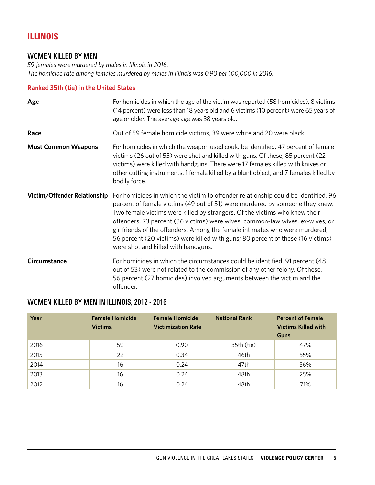# ILLINOIS

# WOMEN KILLED BY MEN

*59 females were murdered by males in Illinois in 2016. The homicide rate among females murdered by males in Illinois was 0.90 per 100,000 in 2016.*

## **Ranked 35th (tie) in the United States**

| Age                          | For homicides in which the age of the victim was reported (58 homicides), 8 victims<br>(14 percent) were less than 18 years old and 6 victims (10 percent) were 65 years of<br>age or older. The average age was 38 years old.                                                                                                                                                                                                                                                                                                             |
|------------------------------|--------------------------------------------------------------------------------------------------------------------------------------------------------------------------------------------------------------------------------------------------------------------------------------------------------------------------------------------------------------------------------------------------------------------------------------------------------------------------------------------------------------------------------------------|
| Race                         | Out of 59 female homicide victims, 39 were white and 20 were black.                                                                                                                                                                                                                                                                                                                                                                                                                                                                        |
| <b>Most Common Weapons</b>   | For homicides in which the weapon used could be identified, 47 percent of female<br>victims (26 out of 55) were shot and killed with guns. Of these, 85 percent (22<br>victims) were killed with handguns. There were 17 females killed with knives or<br>other cutting instruments, 1 female killed by a blunt object, and 7 females killed by<br>bodily force.                                                                                                                                                                           |
| Victim/Offender Relationship | For homicides in which the victim to offender relationship could be identified, 96<br>percent of female victims (49 out of 51) were murdered by someone they knew.<br>Two female victims were killed by strangers. Of the victims who knew their<br>offenders, 73 percent (36 victims) were wives, common-law wives, ex-wives, or<br>girlfriends of the offenders. Among the female intimates who were murdered,<br>56 percent (20 victims) were killed with guns; 80 percent of these (16 victims)<br>were shot and killed with handguns. |
| Circumstance                 | For homicides in which the circumstances could be identified, 91 percent (48<br>out of 53) were not related to the commission of any other felony. Of these,<br>56 percent (27 homicides) involved arguments between the victim and the<br>offender.                                                                                                                                                                                                                                                                                       |

# WOMEN KILLED BY MEN IN ILLINOIS, 2012 - 2016

| Year | <b>Female Homicide</b><br><b>Victims</b> | <b>Female Homicide</b><br><b>Victimization Rate</b> | <b>National Rank</b> | <b>Percent of Female</b><br><b>Victims Killed with</b><br>Guns |
|------|------------------------------------------|-----------------------------------------------------|----------------------|----------------------------------------------------------------|
| 2016 | 59                                       | 0.90                                                | 35th (tie)           | 47%                                                            |
| 2015 | 22                                       | 0.34                                                | 46th                 | 55%                                                            |
| 2014 | 16                                       | 0.24                                                | 47th                 | 56%                                                            |
| 2013 | 16                                       | 0.24                                                | 48th                 | 25%                                                            |
| 2012 | 16                                       | 0.24                                                | 48th                 | 71%                                                            |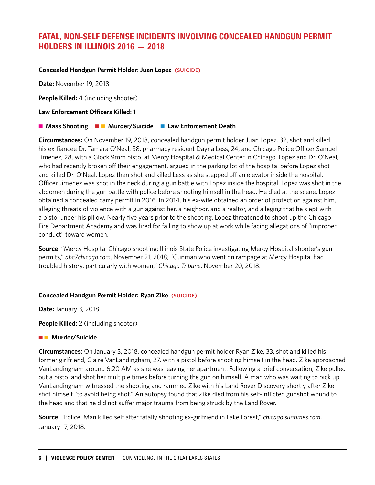# FATAL, NON-SELF DEFENSE INCIDENTS INVOLVING CONCEALED HANDGUN PERMIT HOLDERS IN ILLINOIS 2016 — 2018

## **Concealed Handgun Permit Holder: Juan Lopez (SUICIDE)**

**Date:** November 19, 2018

**People Killed:** 4 (including shooter)

#### **Law Enforcement Officers Killed:** 1

## **n** Mass Shooting **n a Murder/Suicide <b>n** Law Enforcement Death

**Circumstances:** On November 19, 2018, concealed handgun permit holder Juan Lopez, 32, shot and killed his ex-fiancee Dr. Tamara O'Neal, 38, pharmacy resident Dayna Less, 24, and Chicago Police Officer Samuel Jimenez, 28, with a Glock 9mm pistol at Mercy Hospital & Medical Center in Chicago. Lopez and Dr. O'Neal, who had recently broken off their engagement, argued in the parking lot of the hospital before Lopez shot and killed Dr. O'Neal. Lopez then shot and killed Less as she stepped off an elevator inside the hospital. Officer Jimenez was shot in the neck during a gun battle with Lopez inside the hospital. Lopez was shot in the abdomen during the gun battle with police before shooting himself in the head. He died at the scene. Lopez obtained a concealed carry permit in 2016. In 2014, his ex-wife obtained an order of protection against him, alleging threats of violence with a gun against her, a neighbor, and a realtor, and alleging that he slept with a pistol under his pillow. Nearly five years prior to the shooting, Lopez threatened to shoot up the Chicago Fire Department Academy and was fired for failing to show up at work while facing allegations of "improper conduct" toward women.

**Source:** "Mercy Hospital Chicago shooting: Illinois State Police investigating Mercy Hospital shooter's gun permits," *abc7chicago.com*, November 21, 2018; "Gunman who went on rampage at Mercy Hospital had troubled history, particularly with women," *Chicago Tribune*, November 20, 2018.

#### **Concealed Handgun Permit Holder: Ryan Zike (SUICIDE)**

**Date:** January 3, 2018

**People Killed:** 2 (including shooter)

#### **n Murder/Suicide**

**Circumstances:** On January 3, 2018, concealed handgun permit holder Ryan Zike, 33, shot and killed his former girlfriend, Claire VanLandingham, 27, with a pistol before shooting himself in the head. Zike approached VanLandingham around 6:20 AM as she was leaving her apartment. Following a brief conversation, Zike pulled out a pistol and shot her multiple times before turning the gun on himself. A man who was waiting to pick up VanLandingham witnessed the shooting and rammed Zike with his Land Rover Discovery shortly after Zike shot himself "to avoid being shot." An autopsy found that Zike died from his self-inflicted gunshot wound to the head and that he did not suffer major trauma from being struck by the Land Rover.

**Source:** "Police: Man killed self after fatally shooting ex-girlfriend in Lake Forest," *chicago.suntimes.com*, January 17, 2018.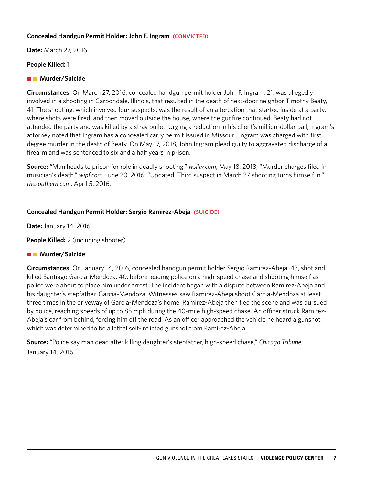## **Concealed Handgun Permit Holder: John F. Ingram (CONVICTED)**

**Date:** March 27, 2016

## **People Killed:** 1

# **n Murder/Suicide**

**Circumstances:** On March 27, 2016, concealed handgun permit holder John F. Ingram, 21, was allegedly involved in a shooting in Carbondale, Illinois, that resulted in the death of next-door neighbor Timothy Beaty, 41. The shooting, which involved four suspects, was the result of an altercation that started inside at a party, where shots were fired, and then moved outside the house, where the gunfire continued. Beaty had not attended the party and was killed by a stray bullet. Urging a reduction in his client's million-dollar bail, Ingram's attorney noted that Ingram has a concealed carry permit issued in Missouri. Ingram was charged with first degree murder in the death of Beaty. On May 17, 2018, John Ingram plead guilty to aggravated discharge of a firearm and was sentenced to six and a half years in prison.

**Source:** "Man heads to prison for role in deadly shooting," *wsiltv.com*, May 18, 2018; "Murder charges filed in musician's death," *wjpf.com*, June 20, 2016; "Updated: Third suspect in March 27 shooting turns himself in," *thesouthern.com*, April 5, 2016.

# **Concealed Handgun Permit Holder: Sergio Ramirez-Abeja (SUICIDE)**

**Date:** January 14, 2016

**People Killed:** 2 (including shooter)

# **n Murder/Suicide**

**Circumstances:** On January 14, 2016, concealed handgun permit holder Sergio Ramirez-Abeja, 43, shot and killed Santiago Garcia-Mendoza, 40, before leading police on a high-speed chase and shooting himself as police were about to place him under arrest. The incident began with a dispute between Ramirez-Abeja and his daughter's stepfather, Garcia-Mendoza. Witnesses saw Ramirez-Abeja shoot Garcia-Mendoza at least three times in the driveway of Garcia-Mendoza's home. Ramirez-Abeja then fled the scene and was pursued by police, reaching speeds of up to 85 mph during the 40-mile high-speed chase. An officer struck Ramirez-Abeja's car from behind, forcing him off the road. As an officer approached the vehicle he heard a gunshot, which was determined to be a lethal self-inflicted gunshot from Ramirez-Abeja.

**Source:** "Police say man dead after killing daughter's stepfather, high-speed chase," *Chicago Tribune*, January 14, 2016.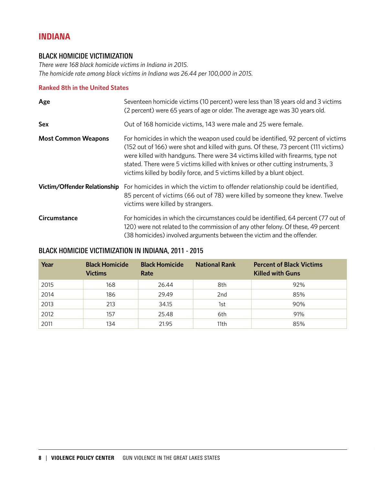# INDIANA

# BLACK HOMICIDE VICTIMIZATION

*There were 168 black homicide victims in Indiana in 2015. The homicide rate among black victims in Indiana was 26.44 per 100,000 in 2015.*

## **Ranked 8th in the United States**

| Age                          | Seventeen homicide victims (10 percent) were less than 18 years old and 3 victims<br>(2 percent) were 65 years of age or older. The average age was 30 years old.                                                                                                                                                                                                                                                         |
|------------------------------|---------------------------------------------------------------------------------------------------------------------------------------------------------------------------------------------------------------------------------------------------------------------------------------------------------------------------------------------------------------------------------------------------------------------------|
| <b>Sex</b>                   | Out of 168 homicide victims, 143 were male and 25 were female.                                                                                                                                                                                                                                                                                                                                                            |
| <b>Most Common Weapons</b>   | For homicides in which the weapon used could be identified, 92 percent of victims<br>(152 out of 166) were shot and killed with guns. Of these, 73 percent (111 victims)<br>were killed with handguns. There were 34 victims killed with firearms, type not<br>stated. There were 5 victims killed with knives or other cutting instruments, 3<br>victims killed by bodily force, and 5 victims killed by a blunt object. |
| Victim/Offender Relationship | For homicides in which the victim to offender relationship could be identified,<br>85 percent of victims (66 out of 78) were killed by someone they knew. Twelve<br>victims were killed by strangers.                                                                                                                                                                                                                     |
| Circumstance                 | For homicides in which the circumstances could be identified, 64 percent (77 out of<br>120) were not related to the commission of any other felony. Of these, 49 percent<br>(38 homicides) involved arguments between the victim and the offender.                                                                                                                                                                        |

# BLACK HOMICIDE VICTIMIZATION IN INDIANA, 2011 - 2015

| Year | <b>Black Homicide</b><br><b>Victims</b> | <b>Black Homicide</b><br>Rate | <b>National Rank</b> | <b>Percent of Black Victims</b><br><b>Killed with Guns</b> |
|------|-----------------------------------------|-------------------------------|----------------------|------------------------------------------------------------|
| 2015 | 168                                     | 26.44                         | 8th                  | 92%                                                        |
| 2014 | 186                                     | 29.49                         | 2 <sub>nd</sub>      | 85%                                                        |
| 2013 | 213                                     | 34.15                         | 1st                  | 90%                                                        |
| 2012 | 157                                     | 25.48                         | 6th                  | 91%                                                        |
| 2011 | 134                                     | 21.95                         | 11th                 | 85%                                                        |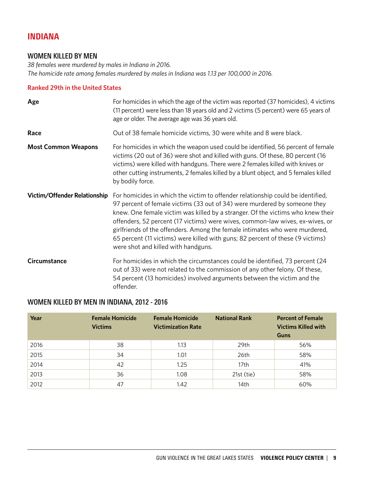# INDIANA

# WOMEN KILLED BY MEN

*38 females were murdered by males in Indiana in 2016. The homicide rate among females murdered by males in Indiana was 1.13 per 100,000 in 2016.*

# **Ranked 29th in the United States**

| Age                          | For homicides in which the age of the victim was reported (37 homicides), 4 victims<br>(11 percent) were less than 18 years old and 2 victims (5 percent) were 65 years of<br>age or older. The average age was 36 years old.                                                                                                                                                                                                                                                                                                            |
|------------------------------|------------------------------------------------------------------------------------------------------------------------------------------------------------------------------------------------------------------------------------------------------------------------------------------------------------------------------------------------------------------------------------------------------------------------------------------------------------------------------------------------------------------------------------------|
| Race                         | Out of 38 female homicide victims, 30 were white and 8 were black.                                                                                                                                                                                                                                                                                                                                                                                                                                                                       |
| <b>Most Common Weapons</b>   | For homicides in which the weapon used could be identified, 56 percent of female<br>victims (20 out of 36) were shot and killed with guns. Of these, 80 percent (16<br>victims) were killed with handguns. There were 2 females killed with knives or<br>other cutting instruments, 2 females killed by a blunt object, and 5 females killed<br>by bodily force.                                                                                                                                                                         |
| Victim/Offender Relationship | For homicides in which the victim to offender relationship could be identified,<br>97 percent of female victims (33 out of 34) were murdered by someone they<br>knew. One female victim was killed by a stranger. Of the victims who knew their<br>offenders, 52 percent (17 victims) were wives, common-law wives, ex-wives, or<br>girlfriends of the offenders. Among the female intimates who were murdered,<br>65 percent (11 victims) were killed with guns; 82 percent of these (9 victims)<br>were shot and killed with handguns. |
| Circumstance                 | For homicides in which the circumstances could be identified, 73 percent (24<br>out of 33) were not related to the commission of any other felony. Of these,<br>54 percent (13 homicides) involved arguments between the victim and the<br>offender.                                                                                                                                                                                                                                                                                     |

# WOMEN KILLED BY MEN IN INDIANA, 2012 - 2016

| Year | <b>Female Homicide</b><br><b>Victims</b> | <b>Female Homicide</b><br><b>Victimization Rate</b> | <b>National Rank</b> | <b>Percent of Female</b><br><b>Victims Killed with</b><br>Guns |
|------|------------------------------------------|-----------------------------------------------------|----------------------|----------------------------------------------------------------|
| 2016 | 38                                       | 1.13                                                | 29th                 | 56%                                                            |
| 2015 | 34                                       | 1.01                                                | 26th                 | 58%                                                            |
| 2014 | 42                                       | 1.25                                                | 17 <sub>th</sub>     | 41%                                                            |
| 2013 | 36                                       | 1.08                                                | 21st (tie)           | 58%                                                            |
| 2012 | 47                                       | 1.42                                                | 14th                 | 60%                                                            |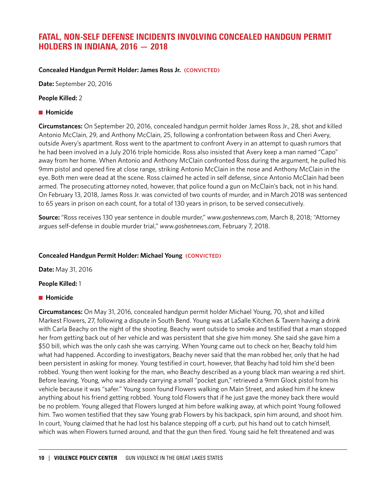# FATAL, NON-SELF DEFENSE INCIDENTS INVOLVING CONCEALED HANDGUN PERMIT HOLDERS IN INDIANA, 2016 — 2018

## **Concealed Handgun Permit Holder: James Ross Jr. (CONVICTED)**

**Date:** September 20, 2016

## **People Killed:** 2

## **n** Homicide

**Circumstances:** On September 20, 2016, concealed handgun permit holder James Ross Jr., 28, shot and killed Antonio McClain, 29, and Anthony McClain, 25, following a confrontation between Ross and Cheri Avery, outside Avery's apartment. Ross went to the apartment to confront Avery in an attempt to quash rumors that he had been involved in a July 2016 triple homicide. Ross also insisted that Avery keep a man named "Capo" away from her home. When Antonio and Anthony McClain confronted Ross during the argument, he pulled his 9mm pistol and opened fire at close range, striking Antonio McClain in the nose and Anthony McClain in the eye. Both men were dead at the scene. Ross claimed he acted in self defense, since Antonio McClain had been armed. The prosecuting attorney noted, however, that police found a gun on McClain's back, not in his hand. On February 13, 2018, James Ross Jr. was convicted of two counts of murder, and in March 2018 was sentenced to 65 years in prison on each count, for a total of 130 years in prison, to be served consecutively.

**Source:** "Ross receives 130 year sentence in double murder," *www.goshennews.com*, March 8, 2018; "Attorney argues self-defense in double murder trial," *www.goshennews.com*, February 7, 2018.

# **Concealed Handgun Permit Holder: Michael Young (CONVICTED)**

**Date:** May 31, 2016

#### **People Killed:** 1

# **n** Homicide

**Circumstances:** On May 31, 2016, concealed handgun permit holder Michael Young, 70, shot and killed Markest Flowers, 27, following a dispute in South Bend. Young was at LaSalle Kitchen & Tavern having a drink with Carla Beachy on the night of the shooting. Beachy went outside to smoke and testified that a man stopped her from getting back out of her vehicle and was persistent that she give him money. She said she gave him a \$50 bill, which was the only cash she was carrying. When Young came out to check on her, Beachy told him what had happened. According to investigators, Beachy never said that the man robbed her, only that he had been persistent in asking for money. Young testified in court, however, that Beachy had told him she'd been robbed. Young then went looking for the man, who Beachy described as a young black man wearing a red shirt. Before leaving, Young, who was already carrying a small "pocket gun," retrieved a 9mm Glock pistol from his vehicle because it was "safer." Young soon found Flowers walking on Main Street, and asked him if he knew anything about his friend getting robbed. Young told Flowers that if he just gave the money back there would be no problem. Young alleged that Flowers lunged at him before walking away, at which point Young followed him. Two women testified that they saw Young grab Flowers by his backpack, spin him around, and shoot him. In court, Young claimed that he had lost his balance stepping off a curb, put his hand out to catch himself, which was when Flowers turned around, and that the gun then fired. Young said he felt threatened and was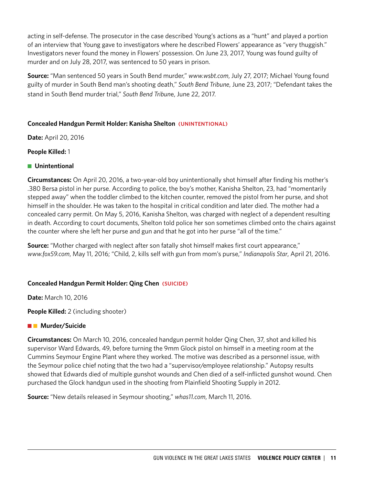acting in self-defense. The prosecutor in the case described Young's actions as a "hunt" and played a portion of an interview that Young gave to investigators where he described Flowers' appearance as "very thuggish." Investigators never found the money in Flowers' possession. On June 23, 2017, Young was found guilty of murder and on July 28, 2017, was sentenced to 50 years in prison.

**Source:** "Man sentenced 50 years in South Bend murder," *www.wsbt.com*, July 27, 2017; Michael Young found guilty of murder in South Bend man's shooting death," *South Bend Tribune*, June 23, 2017; "Defendant takes the stand in South Bend murder trial," *South Bend Tribun*e, June 22, 2017.

# **Concealed Handgun Permit Holder: Kanisha Shelton (UNINTENTIONAL)**

**Date:** April 20, 2016

# **People Killed:** 1

# **n** Unintentional

**Circumstances:** On April 20, 2016, a two-year-old boy unintentionally shot himself after finding his mother's .380 Bersa pistol in her purse. According to police, the boy's mother, Kanisha Shelton, 23, had "momentarily stepped away" when the toddler climbed to the kitchen counter, removed the pistol from her purse, and shot himself in the shoulder. He was taken to the hospital in critical condition and later died. The mother had a concealed carry permit. On May 5, 2016, Kanisha Shelton, was charged with neglect of a dependent resulting in death. According to court documents, Shelton told police her son sometimes climbed onto the chairs against the counter where she left her purse and gun and that he got into her purse "all of the time."

**Source:** "Mother charged with neglect after son fatally shot himself makes first court appearance," *www.fox59.com*, May 11, 2016; "Child, 2, kills self with gun from mom's purse," *Indianapolis Star*, April 21, 2016.

# **Concealed Handgun Permit Holder: Qing Chen (SUICIDE)**

**Date:** March 10, 2016

**People Killed:** 2 (including shooter)

# **n Murder/Suicide**

**Circumstances:** On March 10, 2016, concealed handgun permit holder Qing Chen, 37, shot and killed his supervisor Ward Edwards, 49, before turning the 9mm Glock pistol on himself in a meeting room at the Cummins Seymour Engine Plant where they worked. The motive was described as a personnel issue, with the Seymour police chief noting that the two had a "supervisor/employee relationship." Autopsy results showed that Edwards died of multiple gunshot wounds and Chen died of a self-inflicted gunshot wound. Chen purchased the Glock handgun used in the shooting from Plainfield Shooting Supply in 2012.

**Source:** "New details released in Seymour shooting," *whas11.com*, March 11, 2016.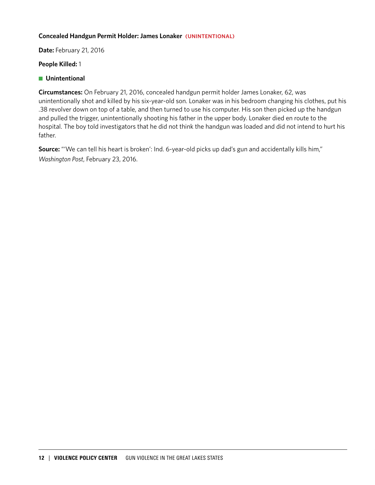## **Concealed Handgun Permit Holder: James Lonaker (UNINTENTIONAL)**

**Date:** February 21, 2016

#### **People Killed:** 1

**n** Unintentional

**Circumstances:** On February 21, 2016, concealed handgun permit holder James Lonaker, 62, was unintentionally shot and killed by his six-year-old son. Lonaker was in his bedroom changing his clothes, put his .38 revolver down on top of a table, and then turned to use his computer. His son then picked up the handgun and pulled the trigger, unintentionally shooting his father in the upper body. Lonaker died en route to the hospital. The boy told investigators that he did not think the handgun was loaded and did not intend to hurt his father.

**Source:** "'We can tell his heart is broken': Ind. 6-year-old picks up dad's gun and accidentally kills him," *Washington Post*, February 23, 2016.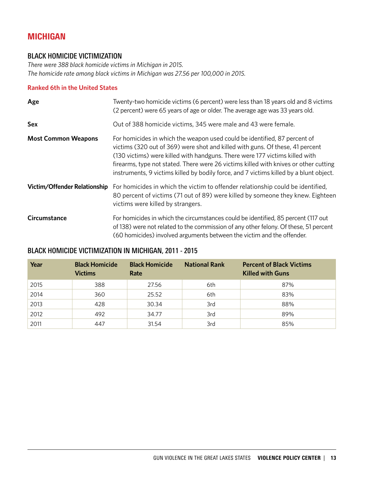# MICHIGAN

# BLACK HOMICIDE VICTIMIZATION

*There were 388 black homicide victims in Michigan in 2015. The homicide rate among black victims in Michigan was 27.56 per 100,000 in 2015.*

# **Ranked 6th in the United States**

| Age                                 | Twenty-two homicide victims (6 percent) were less than 18 years old and 8 victims<br>(2 percent) were 65 years of age or older. The average age was 33 years old.                                                                                                                                                                                                                                                           |
|-------------------------------------|-----------------------------------------------------------------------------------------------------------------------------------------------------------------------------------------------------------------------------------------------------------------------------------------------------------------------------------------------------------------------------------------------------------------------------|
| Sex                                 | Out of 388 homicide victims, 345 were male and 43 were female.                                                                                                                                                                                                                                                                                                                                                              |
| <b>Most Common Weapons</b>          | For homicides in which the weapon used could be identified, 87 percent of<br>victims (320 out of 369) were shot and killed with guns. Of these, 41 percent<br>(130 victims) were killed with handguns. There were 177 victims killed with<br>firearms, type not stated. There were 26 victims killed with knives or other cutting<br>instruments, 9 victims killed by bodily force, and 7 victims killed by a blunt object. |
| <b>Victim/Offender Relationship</b> | For homicides in which the victim to offender relationship could be identified,<br>80 percent of victims (71 out of 89) were killed by someone they knew. Eighteen<br>victims were killed by strangers.                                                                                                                                                                                                                     |
| Circumstance                        | For homicides in which the circumstances could be identified, 85 percent (117 out<br>of 138) were not related to the commission of any other felony. Of these, 51 percent<br>(60 homicides) involved arguments between the victim and the offender.                                                                                                                                                                         |

# BLACK HOMICIDE VICTIMIZATION IN MICHIGAN, 2011 - 2015

| Year | <b>Black Homicide</b><br><b>Victims</b> | <b>Black Homicide</b><br>Rate | <b>National Rank</b> | <b>Percent of Black Victims</b><br><b>Killed with Guns</b> |
|------|-----------------------------------------|-------------------------------|----------------------|------------------------------------------------------------|
| 2015 | 388                                     | 27.56                         | 6th                  | 87%                                                        |
| 2014 | 360                                     | 25.52                         | 6th                  | 83%                                                        |
| 2013 | 428                                     | 30.34                         | 3rd                  | 88%                                                        |
| 2012 | 492                                     | 34.77                         | 3rd                  | 89%                                                        |
| 2011 | 447                                     | 31.54                         | 3rd                  | 85%                                                        |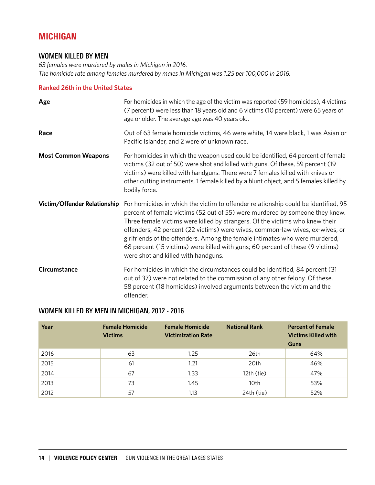# MICHIGAN

# WOMEN KILLED BY MEN

*63 females were murdered by males in Michigan in 2016. The homicide rate among females murdered by males in Michigan was 1.25 per 100,000 in 2016.*

## **Ranked 26th in the United States**

| Age                          | For homicides in which the age of the victim was reported (59 homicides), 4 victims<br>(7 percent) were less than 18 years old and 6 victims (10 percent) were 65 years of<br>age or older. The average age was 40 years old.                                                                                                                                                                                                                                                                                                               |
|------------------------------|---------------------------------------------------------------------------------------------------------------------------------------------------------------------------------------------------------------------------------------------------------------------------------------------------------------------------------------------------------------------------------------------------------------------------------------------------------------------------------------------------------------------------------------------|
| Race                         | Out of 63 female homicide victims, 46 were white, 14 were black, 1 was Asian or<br>Pacific Islander, and 2 were of unknown race.                                                                                                                                                                                                                                                                                                                                                                                                            |
| <b>Most Common Weapons</b>   | For homicides in which the weapon used could be identified, 64 percent of female<br>victims (32 out of 50) were shot and killed with guns. Of these, 59 percent (19<br>victims) were killed with handguns. There were 7 females killed with knives or<br>other cutting instruments, 1 female killed by a blunt object, and 5 females killed by<br>bodily force.                                                                                                                                                                             |
| Victim/Offender Relationship | For homicides in which the victim to offender relationship could be identified, 95<br>percent of female victims (52 out of 55) were murdered by someone they knew.<br>Three female victims were killed by strangers. Of the victims who knew their<br>offenders, 42 percent (22 victims) were wives, common-law wives, ex-wives, or<br>girlfriends of the offenders. Among the female intimates who were murdered,<br>68 percent (15 victims) were killed with guns; 60 percent of these (9 victims)<br>were shot and killed with handguns. |
| <b>Circumstance</b>          | For homicides in which the circumstances could be identified, 84 percent (31)<br>out of 37) were not related to the commission of any other felony. Of these,<br>58 percent (18 homicides) involved arguments between the victim and the<br>offender.                                                                                                                                                                                                                                                                                       |

# WOMEN KILLED BY MEN IN MICHIGAN, 2012 - 2016

| Year | <b>Female Homicide</b><br><b>Victims</b> | <b>Female Homicide</b><br><b>Victimization Rate</b> | <b>National Rank</b> | <b>Percent of Female</b><br><b>Victims Killed with</b><br>Guns |
|------|------------------------------------------|-----------------------------------------------------|----------------------|----------------------------------------------------------------|
| 2016 | 63                                       | 1.25                                                | 26th                 | 64%                                                            |
| 2015 | 61                                       | 1.21                                                | 20th                 | 46%                                                            |
| 2014 | 67                                       | 1.33                                                | 12th (tie)           | 47%                                                            |
| 2013 | 73                                       | 1.45                                                | 10th                 | 53%                                                            |
| 2012 | 57                                       | 1.13                                                | 24th (tie)           | 52%                                                            |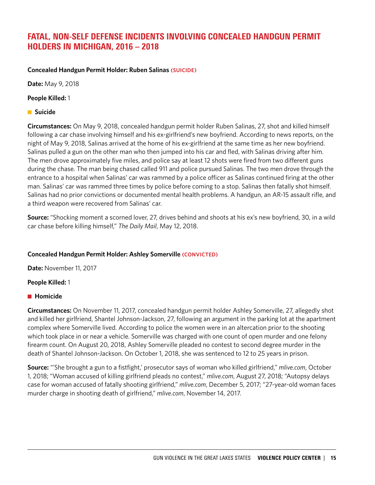# FATAL, NON-SELF DEFENSE INCIDENTS INVOLVING CONCEALED HANDGUN PERMIT HOLDERS IN MICHIGAN, 2016 – 2018

**Concealed Handgun Permit Holder: Ruben Salinas (SUICIDE)**

**Date:** May 9, 2018

**People Killed:** 1

**n** Suicide

**Circumstances:** On May 9, 2018, concealed handgun permit holder Ruben Salinas, 27, shot and killed himself following a car chase involving himself and his ex-girlfriend's new boyfriend. According to news reports, on the night of May 9, 2018, Salinas arrived at the home of his ex-girlfriend at the same time as her new boyfriend. Salinas pulled a gun on the other man who then jumped into his car and fled, with Salinas driving after him. The men drove approximately five miles, and police say at least 12 shots were fired from two different guns during the chase. The man being chased called 911 and police pursued Salinas. The two men drove through the entrance to a hospital when Salinas' car was rammed by a police officer as Salinas continued firing at the other man. Salinas' car was rammed three times by police before coming to a stop. Salinas then fatally shot himself. Salinas had no prior convictions or documented mental health problems. A handgun, an AR-15 assault rifle, and a third weapon were recovered from Salinas' car.

**Source:** "Shocking moment a scorned lover, 27, drives behind and shoots at his ex's new boyfriend, 30, in a wild car chase before killing himself," *The Daily Mail*, May 12, 2018.

# **Concealed Handgun Permit Holder: Ashley Somerville (CONVICTED)**

**Date:** November 11, 2017

#### **People Killed:** 1

# **n** Homicide

**Circumstances:** On November 11, 2017, concealed handgun permit holder Ashley Somerville, 27, allegedly shot and killed her girlfriend, Shantel Johnson-Jackson, 27, following an argument in the parking lot at the apartment complex where Somerville lived. According to police the women were in an altercation prior to the shooting which took place in or near a vehicle. Somerville was charged with one count of open murder and one felony firearm count. On August 20, 2018, Ashley Somerville pleaded no contest to second degree murder in the death of Shantel Johnson-Jackson. On October 1, 2018, she was sentenced to 12 to 25 years in prison.

**Source:** "'She brought a gun to a fistfight,' prosecutor says of woman who killed girlfriend," *mlive.com*, October 1, 2018; "Woman accused of killing girlfriend pleads no contest," *mlive.com*, August 27, 2018; "Autopsy delays case for woman accused of fatally shooting girlfriend," *mlive.com*, December 5, 2017; "27-year-old woman faces murder charge in shooting death of girlfriend," *mlive.com*, November 14, 2017.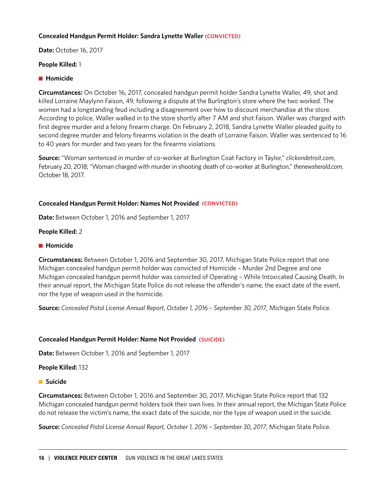## **Concealed Handgun Permit Holder: Sandra Lynette Waller (CONVICTED)**

**Date:** October 16, 2017

#### **People Killed:** 1

#### **n** Homicide

**Circumstances:** On October 16, 2017, concealed handgun permit holder Sandra Lynette Waller, 49, shot and killed Lorraine Maylynn Faison, 49, following a dispute at the Burlington's store where the two worked. The women had a longstanding feud including a disagreement over how to discount merchandise at the store. According to police, Waller walked in to the store shortly after 7 AM and shot Faison. Waller was charged with first degree murder and a felony firearm charge. On February 2, 2018, Sandra Lynette Waller pleaded guilty to second degree murder and felony firearms violation in the death of Lorraine Faison. Waller was sentenced to 16 to 40 years for murder and two years for the firearms violations.

**Source:** "Woman sentenced in murder of co-worker at Burlington Coat Factory in Taylor," *clickondetroit.com*, February 20, 2018; "Woman charged with murder in shooting death of co-worker at Burlington," *thenewsherald.com*, October 18, 2017.

## **Concealed Handgun Permit Holder: Names Not Provided (CONVICTED)**

**Date:** Between October 1, 2016 and September 1, 2017

## **People Killed:** 2

#### ■ Homicide

**Circumstances:** Between October 1, 2016 and September 30, 2017, Michigan State Police report that one Michigan concealed handgun permit holder was convicted of Homicide – Murder 2nd Degree and one Michigan concealed handgun permit holder was convicted of Operating – While Intoxicated Causing Death. In their annual report, the Michigan State Police do not release the offender's name, the exact date of the event, nor the type of weapon used in the homicide.

**Source:** *Concealed Pistol License Annual Report*, *October 1, 2016 – September 30, 2017*, Michigan State Police.

#### **Concealed Handgun Permit Holder: Name Not Provided (SUICIDE)**

**Date:** Between October 1, 2016 and September 1, 2017

#### **People Killed:** 132

#### **n** Suicide

**Circumstances:** Between October 1, 2016 and September 30, 2017, Michigan State Police report that 132 Michigan concealed handgun permit holders took their own lives. In their annual report, the Michigan State Police do not release the victim's name, the exact date of the suicide, nor the type of weapon used in the suicide.

**Source:** *Concealed Pistol License Annual Report, October 1, 2016 – September 30, 2017*, Michigan State Police.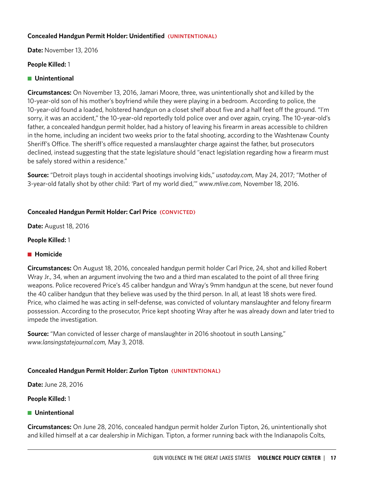## **Concealed Handgun Permit Holder: Unidentified (UNINTENTIONAL)**

**Date:** November 13, 2016

## **People Killed:** 1

## **n** Unintentional

**Circumstances:** On November 13, 2016, Jamari Moore, three, was unintentionally shot and killed by the 10-year-old son of his mother's boyfriend while they were playing in a bedroom. According to police, the 10-year-old found a loaded, holstered handgun on a closet shelf about five and a half feet off the ground. "I'm sorry, it was an accident," the 10-year-old reportedly told police over and over again, crying. The 10-year-old's father, a concealed handgun permit holder, had a history of leaving his firearm in areas accessible to children in the home, including an incident two weeks prior to the fatal shooting, according to the Washtenaw County Sheriff's Office. The sheriff's office requested a manslaughter charge against the father, but prosecutors declined, instead suggesting that the state legislature should "enact legislation regarding how a firearm must be safely stored within a residence."

**Source:** "Detroit plays tough in accidental shootings involving kids," *usatoday.com*, May 24, 2017; "Mother of 3-year-old fatally shot by other child: 'Part of my world died,'" *www.mlive.com*, November 18, 2016.

# **Concealed Handgun Permit Holder: Carl Price (CONVICTED)**

**Date:** August 18, 2016

## **People Killed:** 1

#### **n** Homicide

**Circumstances:** On August 18, 2016, concealed handgun permit holder Carl Price, 24, shot and killed Robert Wray Jr., 34, when an argument involving the two and a third man escalated to the point of all three firing weapons. Police recovered Price's 45 caliber handgun and Wray's 9mm handgun at the scene, but never found the 40 caliber handgun that they believe was used by the third person. In all, at least 18 shots were fired. Price, who claimed he was acting in self-defense, was convicted of voluntary manslaughter and felony firearm possession. According to the prosecutor, Price kept shooting Wray after he was already down and later tried to impede the investigation.

**Source:** "Man convicted of lesser charge of manslaughter in 2016 shootout in south Lansing," *www.lansingstatejournal.com,* May 3, 2018.

# **Concealed Handgun Permit Holder: Zurlon Tipton (UNINTENTIONAL)**

**Date:** June 28, 2016

**People Killed:** 1

#### **n** Unintentional

**Circumstances:** On June 28, 2016, concealed handgun permit holder Zurlon Tipton, 26, unintentionally shot and killed himself at a car dealership in Michigan. Tipton, a former running back with the Indianapolis Colts,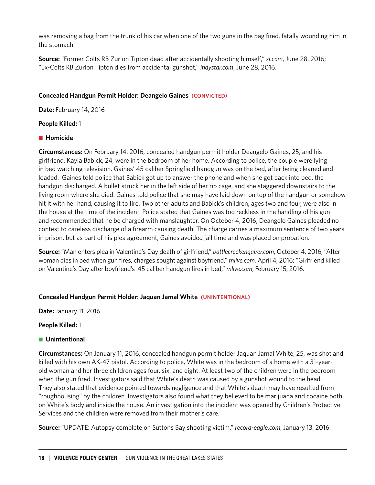was removing a bag from the trunk of his car when one of the two guns in the bag fired, fatally wounding him in the stomach.

**Source:** "Former Colts RB Zurlon Tipton dead after accidentally shooting himself," *si.com*, June 28, 2016; "Ex-Colts RB Zurlon Tipton dies from accidental gunshot," *indystar.com*, June 28, 2016.

## **Concealed Handgun Permit Holder: Deangelo Gaines (CONVICTED)**

**Date:** February 14, 2016

## **People Killed:** 1

## **n** Homicide

**Circumstances:** On February 14, 2016, concealed handgun permit holder Deangelo Gaines, 25, and his girlfriend, Kayla Babick, 24, were in the bedroom of her home. According to police, the couple were lying in bed watching television. Gaines' 45 caliber Springfield handgun was on the bed, after being cleaned and loaded. Gaines told police that Babick got up to answer the phone and when she got back into bed, the handgun discharged. A bullet struck her in the left side of her rib cage, and she staggered downstairs to the living room where she died. Gaines told police that she may have laid down on top of the handgun or somehow hit it with her hand, causing it to fire. Two other adults and Babick's children, ages two and four, were also in the house at the time of the incident. Police stated that Gaines was too reckless in the handling of his gun and recommended that he be charged with manslaughter. On October 4, 2016, Deangelo Gaines pleaded no contest to careless discharge of a firearm causing death. The charge carries a maximum sentence of two years in prison, but as part of his plea agreement, Gaines avoided jail time and was placed on probation.

**Source:** "Man enters plea in Valentine's Day death of girlfriend," *battlecreekenquirer.com*, October 4, 2016; "After woman dies in bed when gun fires, charges sought against boyfriend," *mlive.com*, April 4, 2016; "Girlfriend killed on Valentine's Day after boyfriend's .45 caliber handgun fires in bed," *mlive.com*, February 15, 2016.

# **Concealed Handgun Permit Holder: Jaquan Jamal White (UNINTENTIONAL)**

**Date:** January 11, 2016

#### **People Killed:** 1

# **n** Unintentional

**Circumstances:** On January 11, 2016, concealed handgun permit holder Jaquan Jamal White, 25, was shot and killed with his own AK-47 pistol. According to police, White was in the bedroom of a home with a 31-yearold woman and her three children ages four, six, and eight. At least two of the children were in the bedroom when the gun fired. Investigators said that White's death was caused by a gunshot wound to the head. They also stated that evidence pointed towards negligence and that White's death may have resulted from "roughhousing" by the children. Investigators also found what they believed to be marijuana and cocaine both on White's body and inside the house. An investigation into the incident was opened by Children's Protective Services and the children were removed from their mother's care.

**Source:** "UPDATE: Autopsy complete on Suttons Bay shooting victim," *record-eagle.com*, January 13, 2016.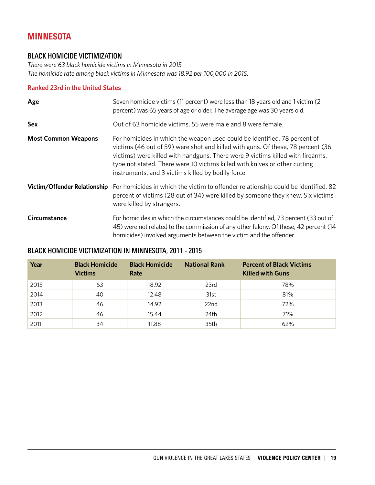# MINNESOTA

# BLACK HOMICIDE VICTIMIZATION

*There were 63 black homicide victims in Minnesota in 2015. The homicide rate among black victims in Minnesota was 18.92 per 100,000 in 2015.*

# **Ranked 23rd in the United States**

| Age                                 | Seven homicide victims (11 percent) were less than 18 years old and 1 victim (2<br>percent) was 65 years of age or older. The average age was 30 years old.                                                                                                                                                                                                                        |
|-------------------------------------|------------------------------------------------------------------------------------------------------------------------------------------------------------------------------------------------------------------------------------------------------------------------------------------------------------------------------------------------------------------------------------|
| Sex                                 | Out of 63 homicide victims, 55 were male and 8 were female.                                                                                                                                                                                                                                                                                                                        |
| <b>Most Common Weapons</b>          | For homicides in which the weapon used could be identified, 78 percent of<br>victims (46 out of 59) were shot and killed with guns. Of these, 78 percent (36<br>victims) were killed with handguns. There were 9 victims killed with firearms,<br>type not stated. There were 10 victims killed with knives or other cutting<br>instruments, and 3 victims killed by bodily force. |
| <b>Victim/Offender Relationship</b> | For homicides in which the victim to offender relationship could be identified, 82<br>percent of victims (28 out of 34) were killed by someone they knew. Six victims<br>were killed by strangers.                                                                                                                                                                                 |
| Circumstance                        | For homicides in which the circumstances could be identified, 73 percent (33 out of<br>45) were not related to the commission of any other felony. Of these, 42 percent (14<br>homicides) involved arguments between the victim and the offender.                                                                                                                                  |

# BLACK HOMICIDE VICTIMIZATION IN MINNESOTA, 2011 - 2015

| Year | <b>Black Homicide</b><br><b>Victims</b> | <b>Black Homicide</b><br>Rate | <b>National Rank</b> | <b>Percent of Black Victims</b><br><b>Killed with Guns</b> |
|------|-----------------------------------------|-------------------------------|----------------------|------------------------------------------------------------|
| 2015 | 63                                      | 18.92                         | 23rd                 | 78%                                                        |
| 2014 | 40                                      | 12.48                         | 31st                 | 81%                                                        |
| 2013 | 46                                      | 14.92                         | 22 <sub>nd</sub>     | 72%                                                        |
| 2012 | 46                                      | 15.44                         | 24th                 | 71%                                                        |
| 2011 | 34                                      | 11.88                         | 35th                 | 62%                                                        |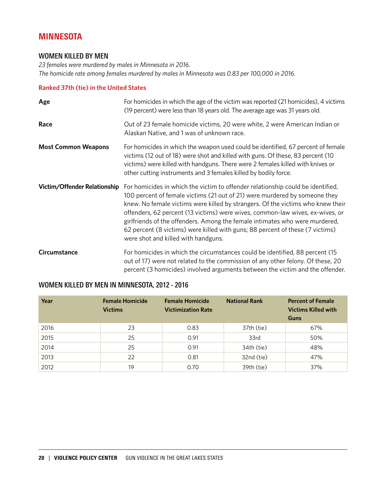# **MINNESOTA**

# WOMEN KILLED BY MEN

*23 females were murdered by males in Minnesota in 2016. The homicide rate among females murdered by males in Minnesota was 0.83 per 100,000 in 2016.*

## **Ranked 37th (tie) in the United States**

| Age                          | For homicides in which the age of the victim was reported (21 homicides), 4 victims<br>(19 percent) were less than 18 years old. The average age was 31 years old.                                                                                                                                                                                                                                                                                                                                                                       |
|------------------------------|------------------------------------------------------------------------------------------------------------------------------------------------------------------------------------------------------------------------------------------------------------------------------------------------------------------------------------------------------------------------------------------------------------------------------------------------------------------------------------------------------------------------------------------|
| Race                         | Out of 23 female homicide victims, 20 were white, 2 were American Indian or<br>Alaskan Native, and 1 was of unknown race.                                                                                                                                                                                                                                                                                                                                                                                                                |
| <b>Most Common Weapons</b>   | For homicides in which the weapon used could be identified, 67 percent of female<br>victims (12 out of 18) were shot and killed with guns. Of these, 83 percent (10<br>victims) were killed with handguns. There were 2 females killed with knives or<br>other cutting instruments and 3 females killed by bodily force.                                                                                                                                                                                                                 |
| Victim/Offender Relationship | For homicides in which the victim to offender relationship could be identified,<br>100 percent of female victims (21 out of 21) were murdered by someone they<br>knew. No female victims were killed by strangers. Of the victims who knew their<br>offenders, 62 percent (13 victims) were wives, common-law wives, ex-wives, or<br>girlfriends of the offenders. Among the female intimates who were murdered,<br>62 percent (8 victims) were killed with guns; 88 percent of these (7 victims)<br>were shot and killed with handguns. |
| Circumstance                 | For homicides in which the circumstances could be identified, 88 percent (15<br>out of 17) were not related to the commission of any other felony. Of these, 20<br>percent (3 homicides) involved arguments between the victim and the offender.                                                                                                                                                                                                                                                                                         |

| Year | <b>Female Homicide</b><br><b>Victims</b> | <b>Female Homicide</b><br><b>Victimization Rate</b> | <b>National Rank</b> | <b>Percent of Female</b><br><b>Victims Killed with</b><br>Guns |
|------|------------------------------------------|-----------------------------------------------------|----------------------|----------------------------------------------------------------|
| 2016 | 23                                       | 0.83                                                | 37th (tie)           | 67%                                                            |
| 2015 | 25                                       | 0.91                                                | 33rd                 | 50%                                                            |
| 2014 | 25                                       | 0.91                                                | 34th (tie)           | 48%                                                            |
| 2013 | 22                                       | 0.81                                                | 32nd (tie)           | 47%                                                            |
| 2012 | 19                                       | 0.70                                                | 39th (tie)           | 37%                                                            |

# WOMEN KILLED BY MEN IN MINNESOTA, 2012 - 2016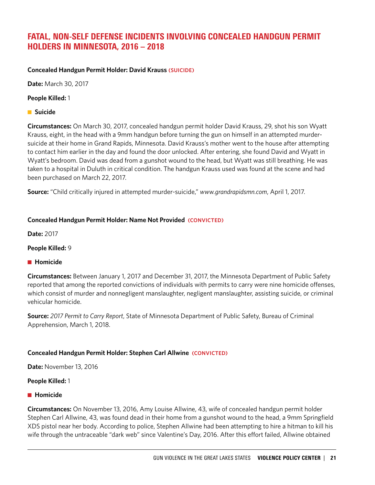# FATAL, NON-SELF DEFENSE INCIDENTS INVOLVING CONCEALED HANDGUN PERMIT HOLDERS IN MINNESOTA, 2016 – 2018

# **Concealed Handgun Permit Holder: David Krauss (SUICIDE)**

**Date:** March 30, 2017

# **People Killed:** 1

**n** Suicide

**Circumstances:** On March 30, 2017, concealed handgun permit holder David Krauss, 29, shot his son Wyatt Krauss, eight, in the head with a 9mm handgun before turning the gun on himself in an attempted murdersuicide at their home in Grand Rapids, Minnesota. David Krauss's mother went to the house after attempting to contact him earlier in the day and found the door unlocked. After entering, she found David and Wyatt in Wyatt's bedroom. David was dead from a gunshot wound to the head, but Wyatt was still breathing. He was taken to a hospital in Duluth in critical condition. The handgun Krauss used was found at the scene and had been purchased on March 22, 2017.

**Source:** "Child critically injured in attempted murder-suicide," *www.grandrapidsmn.com*, April 1, 2017.

# **Concealed Handgun Permit Holder: Name Not Provided (CONVICTED)**

**Date:** 2017

#### **People Killed:** 9

#### **n** Homicide

**Circumstances:** Between January 1, 2017 and December 31, 2017, the Minnesota Department of Public Safety reported that among the reported convictions of individuals with permits to carry were nine homicide offenses, which consist of murder and nonnegligent manslaughter, negligent manslaughter, assisting suicide, or criminal vehicular homicide.

**Source:** *2017 Permit to Carry Report*, State of Minnesota Department of Public Safety, Bureau of Criminal Apprehension, March 1, 2018.

#### **Concealed Handgun Permit Holder: Stephen Carl Allwine (CONVICTED)**

**Date:** November 13, 2016

#### **People Killed:** 1

#### **n** Homicide

**Circumstances:** On November 13, 2016, Amy Louise Allwine, 43, wife of concealed handgun permit holder Stephen Carl Allwine, 43, was found dead in their home from a gunshot wound to the head, a 9mm Springfield XDS pistol near her body. According to police, Stephen Allwine had been attempting to hire a hitman to kill his wife through the untraceable "dark web" since Valentine's Day, 2016. After this effort failed, Allwine obtained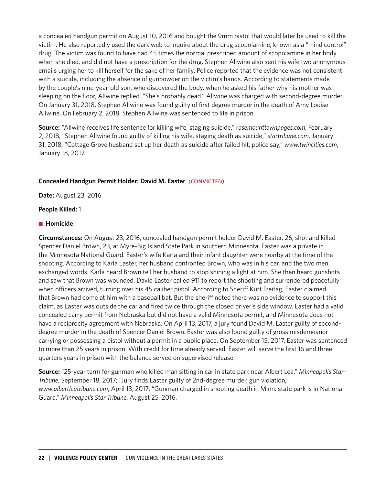a concealed handgun permit on August 10, 2016 and bought the 9mm pistol that would later be used to kill the victim. He also reportedly used the dark web to inquire about the drug scopolamine, known as a "mind control" drug. The victim was found to have had 45 times the normal prescribed amount of scopolamine in her body when she died, and did not have a prescription for the drug. Stephen Allwine also sent his wife two anonymous emails urging her to kill herself for the sake of her family. Police reported that the evidence was not consistent with a suicide, including the absence of gunpowder on the victim's hands. According to statements made by the couple's nine-year-old son, who discovered the body, when he asked his father why his mother was sleeping on the floor, Allwine replied, "She's probably dead." Allwine was charged with second-degree murder. On January 31, 2018, Stephen Allwine was found guilty of first degree murder in the death of Amy Louise Allwine. On February 2, 2018, Stephen Allwine was sentenced to life in prison.

**Source:** *"*Allwine receives life sentence for killing wife, staging suicide," r*osemounttownpages.com*, February 2, 2018; "Stephen Allwine found guilty of killing his wife, staging death as suicide," *startribune.com*, January 31, 2018; "Cottage Grove husband set up her death as suicide after failed hit, police say," *www.twincities.com*, January 18, 2017.

# **Concealed Handgun Permit Holder: David M. Easter (CONVICTED)**

**Date:** August 23, 2016

#### **People Killed:** 1

#### **n** Homicide

**Circumstances:** On August 23, 2016, concealed handgun permit holder David M. Easter, 26, shot and killed Spencer Daniel Brown, 23, at Myre-Big Island State Park in southern Minnesota. Easter was a private in the Minnesota National Guard. Easter's wife Karla and their infant daughter were nearby at the time of the shooting. According to Karla Easter, her husband confronted Brown, who was in his car, and the two men exchanged words. Karla heard Brown tell her husband to stop shining a light at him. She then heard gunshots and saw that Brown was wounded. David Easter called 911 to report the shooting and surrendered peacefully when officers arrived, turning over his 45 caliber pistol. According to Sheriff Kurt Freitag, Easter claimed that Brown had come at him with a baseball bat. But the sheriff noted there was no evidence to support this claim, as Easter was outside the car and fired twice through the closed driver's side window. Easter had a valid concealed carry permit from Nebraska but did not have a valid Minnesota permit, and Minnesota does not have a reciprocity agreement with Nebraska. On April 13, 2017, a jury found David M. Easter guilty of seconddegree murder in the death of Spencer Daniel Brown. Easter was also found guilty of gross misdemeanor carrying or possessing a pistol without a permit in a public place. On September 15, 2017, Easter was sentenced to more than 25 years in prison. With credit for time already served, Easter will serve the first 16 and three quarters years in prison with the balance served on supervised release.

**Source:** "25-year term for gunman who killed man sitting in car in state park near Albert Lea," *Minneapolis Star-Tribune*, September 18, 2017; "Jury finds Easter guilty of 2nd-degree murder, gun violation," *www.albertleatribune.com*, April 13, 2017; "Gunman charged in shooting death in Minn. state park is in National Guard," *Minneapolis Star Tribune*, August 25, 2016.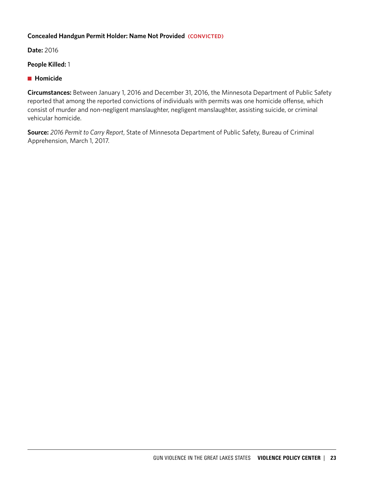# **Concealed Handgun Permit Holder: Name Not Provided (CONVICTED)**

**Date:** 2016

**People Killed:** 1

# **n** Homicide

**Circumstances:** Between January 1, 2016 and December 31, 2016, the Minnesota Department of Public Safety reported that among the reported convictions of individuals with permits was one homicide offense, which consist of murder and non-negligent manslaughter, negligent manslaughter, assisting suicide, or criminal vehicular homicide.

**Source:** *2016 Permit to Carry Report*, State of Minnesota Department of Public Safety, Bureau of Criminal Apprehension, March 1, 2017.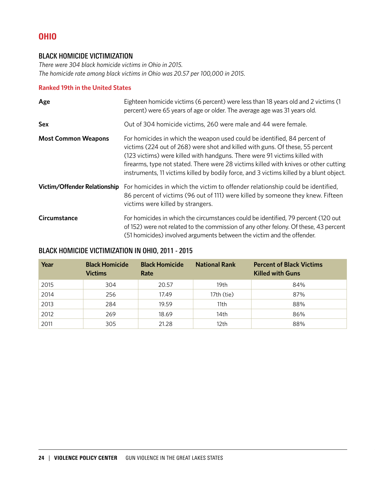# OHIO

# BLACK HOMICIDE VICTIMIZATION

*There were 304 black homicide victims in Ohio in 2015. The homicide rate among black victims in Ohio was 20.57 per 100,000 in 2015.*

## **Ranked 19th in the United States**

| Age                          | Eighteen homicide victims (6 percent) were less than 18 years old and 2 victims (1<br>percent) were 65 years of age or older. The average age was 31 years old.                                                                                                                                                                                                                                                             |
|------------------------------|-----------------------------------------------------------------------------------------------------------------------------------------------------------------------------------------------------------------------------------------------------------------------------------------------------------------------------------------------------------------------------------------------------------------------------|
| <b>Sex</b>                   | Out of 304 homicide victims, 260 were male and 44 were female.                                                                                                                                                                                                                                                                                                                                                              |
| <b>Most Common Weapons</b>   | For homicides in which the weapon used could be identified, 84 percent of<br>victims (224 out of 268) were shot and killed with guns. Of these, 55 percent<br>(123 victims) were killed with handguns. There were 91 victims killed with<br>firearms, type not stated. There were 28 victims killed with knives or other cutting<br>instruments, 11 victims killed by bodily force, and 3 victims killed by a blunt object. |
| Victim/Offender Relationship | For homicides in which the victim to offender relationship could be identified,<br>86 percent of victims (96 out of 111) were killed by someone they knew. Fifteen<br>victims were killed by strangers.                                                                                                                                                                                                                     |
| Circumstance                 | For homicides in which the circumstances could be identified, 79 percent (120 out<br>of 152) were not related to the commission of any other felony. Of these, 43 percent<br>(51 homicides) involved arguments between the victim and the offender.                                                                                                                                                                         |

# BLACK HOMICIDE VICTIMIZATION IN OHIO, 2011 - 2015

| Year | <b>Black Homicide</b><br><b>Victims</b> | <b>Black Homicide</b><br>Rate | <b>National Rank</b> | <b>Percent of Black Victims</b><br><b>Killed with Guns</b> |
|------|-----------------------------------------|-------------------------------|----------------------|------------------------------------------------------------|
| 2015 | 304                                     | 20.57                         | 19th                 | 84%                                                        |
| 2014 | 256                                     | 17.49                         | $17th$ (tie)         | 87%                                                        |
| 2013 | 284                                     | 19.59                         | 11th                 | 88%                                                        |
| 2012 | 269                                     | 18.69                         | 14th                 | 86%                                                        |
| 2011 | 305                                     | 21.28                         | 12 <sub>th</sub>     | 88%                                                        |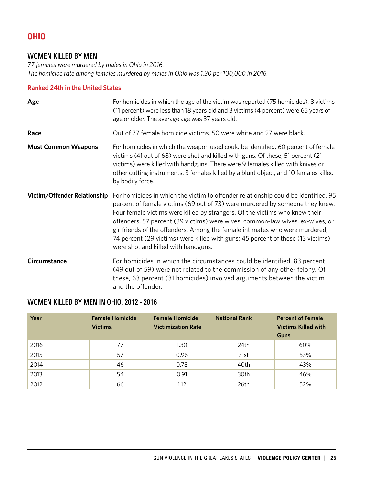# OHIO

# WOMEN KILLED BY MEN

*77 females were murdered by males in Ohio in 2016. The homicide rate among females murdered by males in Ohio was 1.30 per 100,000 in 2016.*

# **Ranked 24th in the United States**

| Age                          | For homicides in which the age of the victim was reported (75 homicides), 8 victims<br>(11 percent) were less than 18 years old and 3 victims (4 percent) were 65 years of<br>age or older. The average age was 37 years old.                                                                                                                                                                                                                                                                                                               |
|------------------------------|---------------------------------------------------------------------------------------------------------------------------------------------------------------------------------------------------------------------------------------------------------------------------------------------------------------------------------------------------------------------------------------------------------------------------------------------------------------------------------------------------------------------------------------------|
| Race                         | Out of 77 female homicide victims, 50 were white and 27 were black.                                                                                                                                                                                                                                                                                                                                                                                                                                                                         |
| <b>Most Common Weapons</b>   | For homicides in which the weapon used could be identified, 60 percent of female<br>victims (41 out of 68) were shot and killed with guns. Of these, 51 percent (21<br>victims) were killed with handguns. There were 9 females killed with knives or<br>other cutting instruments, 3 females killed by a blunt object, and 10 females killed<br>by bodily force.                                                                                                                                                                           |
| Victim/Offender Relationship | For homicides in which the victim to offender relationship could be identified, 95<br>percent of female victims (69 out of 73) were murdered by someone they knew.<br>Four female victims were killed by strangers. Of the victims who knew their<br>offenders, 57 percent (39 victims) were wives, common-law wives, ex-wives, or<br>girlfriends of the offenders. Among the female intimates who were murdered,<br>74 percent (29 victims) were killed with guns; 45 percent of these (13 victims)<br>were shot and killed with handguns. |
| Circumstance                 | For homicides in which the circumstances could be identified, 83 percent<br>(49 out of 59) were not related to the commission of any other felony. Of<br>these, 63 percent (31 homicides) involved arguments between the victim<br>and the offender.                                                                                                                                                                                                                                                                                        |

# WOMEN KILLED BY MEN IN OHIO, 2012 - 2016

| Year | <b>Female Homicide</b><br><b>Victims</b> | <b>Female Homicide</b><br><b>Victimization Rate</b> | <b>National Rank</b> | <b>Percent of Female</b><br><b>Victims Killed with</b><br>Guns |
|------|------------------------------------------|-----------------------------------------------------|----------------------|----------------------------------------------------------------|
| 2016 | 77                                       | 1.30                                                | 24th                 | 60%                                                            |
| 2015 | 57                                       | 0.96                                                | 31st                 | 53%                                                            |
| 2014 | 46                                       | 0.78                                                | 40th                 | 43%                                                            |
| 2013 | 54                                       | 0.91                                                | 30th                 | 46%                                                            |
| 2012 | 66                                       | 1.12                                                | 26th                 | 52%                                                            |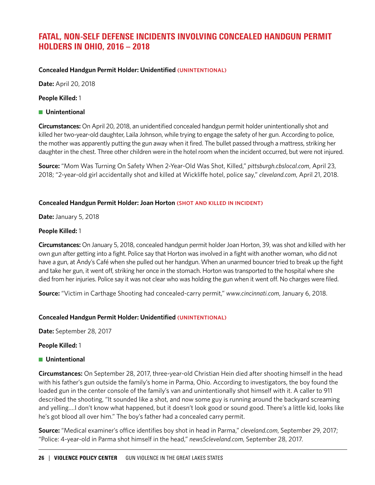# FATAL, NON-SELF DEFENSE INCIDENTS INVOLVING CONCEALED HANDGUN PERMIT HOLDERS IN OHIO, 2016 – 2018

## **Concealed Handgun Permit Holder: Unidentified (UNINTENTIONAL)**

**Date:** April 20, 2018

**People Killed:** 1

#### **n** Unintentional

**Circumstances:** On April 20, 2018, an unidentified concealed handgun permit holder unintentionally shot and killed her two-year-old daughter, Laila Johnson, while trying to engage the safety of her gun. According to police, the mother was apparently putting the gun away when it fired. The bullet passed through a mattress, striking her daughter in the chest. Three other children were in the hotel room when the incident occurred, but were not injured.

**Source:** "Mom Was Turning On Safety When 2-Year-Old Was Shot, Killed," *pittsburgh.cbslocal.com*, April 23, 2018; "2-year-old girl accidentally shot and killed at Wickliffe hotel, police say," *cleveland.com*, April 21, 2018.

## **Concealed Handgun Permit Holder: Joan Horton (SHOT AND KILLED IN INCIDENT)**

**Date:** January 5, 2018

#### **People Killed:** 1

**Circumstances:** On January 5, 2018, concealed handgun permit holder Joan Horton, 39, was shot and killed with her own gun after getting into a fight. Police say that Horton was involved in a fight with another woman, who did not have a gun, at Andy's Café when she pulled out her handgun. When an unarmed bouncer tried to break up the fight and take her gun, it went off, striking her once in the stomach. Horton was transported to the hospital where she died from her injuries. Police say it was not clear who was holding the gun when it went off. No charges were filed.

**Source:** "Victim in Carthage Shooting had concealed-carry permit," *www.cincinnati.com*, January 6, 2018.

# **Concealed Handgun Permit Holder: Unidentified (UNINTENTIONAL)**

**Date:** September 28, 2017

#### **People Killed:** 1

# **n** Unintentional

**Circumstances:** On September 28, 2017, three-year-old Christian Hein died after shooting himself in the head with his father's gun outside the family's home in Parma, Ohio. According to investigators, the boy found the loaded gun in the center console of the family's van and unintentionally shot himself with it. A caller to 911 described the shooting, "It sounded like a shot, and now some guy is running around the backyard screaming and yelling….I don't know what happened, but it doesn't look good or sound good. There's a little kid, looks like he's got blood all over him." The boy's father had a concealed carry permit.

**Source:** "Medical examiner's office identifies boy shot in head in Parma," *cleveland.com*, September 29, 2017; "Police: 4-year-old in Parma shot himself in the head," *news5cleveland.com*, September 28, 2017.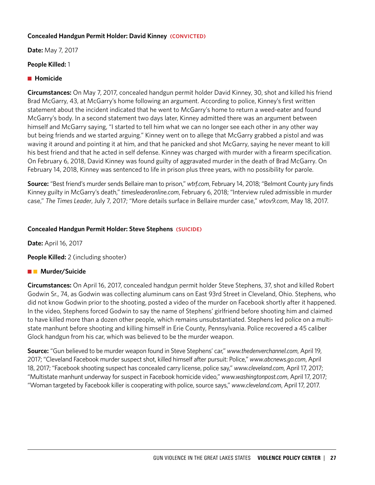#### **Concealed Handgun Permit Holder: David Kinney (CONVICTED)**

**Date:** May 7, 2017

# **People Killed:** 1

## ■ Homicide

**Circumstances:** On May 7, 2017, concealed handgun permit holder David Kinney, 30, shot and killed his friend Brad McGarry, 43, at McGarry's home following an argument. According to police, Kinney's first written statement about the incident indicated that he went to McGarry's home to return a weed-eater and found McGarry's body. In a second statement two days later, Kinney admitted there was an argument between himself and McGarry saying, "I started to tell him what we can no longer see each other in any other way but being friends and we started arguing." Kinney went on to allege that McGarry grabbed a pistol and was waving it around and pointing it at him, and that he panicked and shot McGarry, saying he never meant to kill his best friend and that he acted in self defense. Kinney was charged with murder with a firearm specification. On February 6, 2018, David Kinney was found guilty of aggravated murder in the death of Brad McGarry. On February 14, 2018, Kinney was sentenced to life in prison plus three years, with no possibility for parole.

**Source:** "Best friend's murder sends Bellaire man to prison," *wtrf.com*, February 14, 2018; "Belmont County jury finds Kinney guilty in McGarry's death," *timesleaderonline.com*, February 6, 2018; "Interview ruled admissible in murder case," *The Times Leader*, July 7, 2017; "More details surface in Bellaire murder case," *wtov9.com*, May 18, 2017.

## **Concealed Handgun Permit Holder: Steve Stephens (SUICIDE)**

**Date:** April 16, 2017

**People Killed:** 2 (including shooter)

# **n Murder/Suicide**

**Circumstances:** On April 16, 2017, concealed handgun permit holder Steve Stephens, 37, shot and killed Robert Godwin Sr., 74, as Godwin was collecting aluminum cans on East 93rd Street in Cleveland, Ohio. Stephens, who did not know Godwin prior to the shooting, posted a video of the murder on Facebook shortly after it happened. In the video, Stephens forced Godwin to say the name of Stephens' girlfriend before shooting him and claimed to have killed more than a dozen other people, which remains unsubstantiated. Stephens led police on a multistate manhunt before shooting and killing himself in Erie County, Pennsylvania. Police recovered a 45 caliber Glock handgun from his car, which was believed to be the murder weapon.

**Source:** "Gun believed to be murder weapon found in Steve Stephens' car," *www.thedenverchannel.com*, April 19, 2017; "Cleveland Facebook murder suspect shot, killed himself after pursuit: Police," *www.abcnews.go.com*, April 18, 2017; "Facebook shooting suspect has concealed carry license, police say," *www.cleveland.com*, April 17, 2017; "Multistate manhunt underway for suspect in Facebook homicide video," *www.washingtonpost.com*, April 17, 2017; "Woman targeted by Facebook killer is cooperating with police, source says," *www.cleveland.com*, April 17, 2017.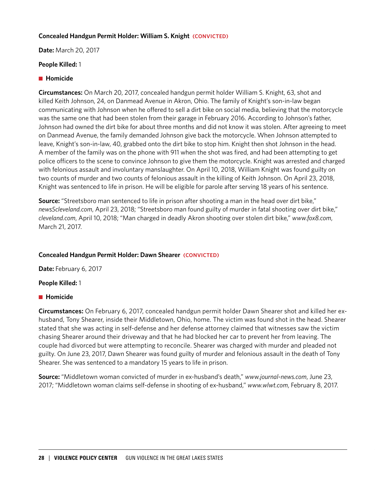## **Concealed Handgun Permit Holder: William S. Knight (CONVICTED)**

**Date:** March 20, 2017

#### **People Killed:** 1

#### **n** Homicide

**Circumstances:** On March 20, 2017, concealed handgun permit holder William S. Knight, 63, shot and killed Keith Johnson, 24, on Danmead Avenue in Akron, Ohio. The family of Knight's son-in-law began communicating with Johnson when he offered to sell a dirt bike on social media, believing that the motorcycle was the same one that had been stolen from their garage in February 2016. According to Johnson's father, Johnson had owned the dirt bike for about three months and did not know it was stolen. After agreeing to meet on Danmead Avenue, the family demanded Johnson give back the motorcycle. When Johnson attempted to leave, Knight's son-in-law, 40, grabbed onto the dirt bike to stop him. Knight then shot Johnson in the head. A member of the family was on the phone with 911 when the shot was fired, and had been attempting to get police officers to the scene to convince Johnson to give them the motorcycle. Knight was arrested and charged with felonious assault and involuntary manslaughter. On April 10, 2018, William Knight was found guilty on two counts of murder and two counts of felonious assault in the killing of Keith Johnson. On April 23, 2018, Knight was sentenced to life in prison. He will be eligible for parole after serving 18 years of his sentence.

**Source:** "Streetsboro man sentenced to life in prison after shooting a man in the head over dirt bike," *news5cleveland.com*, April 23, 2018; "Streetsboro man found guilty of murder in fatal shooting over dirt bike," *cleveland.com*, April 10, 2018; "Man charged in deadly Akron shooting over stolen dirt bike," *www.fox8.com*, March 21, 2017.

#### **Concealed Handgun Permit Holder: Dawn Shearer (CONVICTED)**

**Date:** February 6, 2017

#### **People Killed:** 1

#### **n** Homicide

**Circumstances:** On February 6, 2017, concealed handgun permit holder Dawn Shearer shot and killed her exhusband, Tony Shearer, inside their Middletown, Ohio, home. The victim was found shot in the head. Shearer stated that she was acting in self-defense and her defense attorney claimed that witnesses saw the victim chasing Shearer around their driveway and that he had blocked her car to prevent her from leaving. The couple had divorced but were attempting to reconcile. Shearer was charged with murder and pleaded not guilty. On June 23, 2017, Dawn Shearer was found guilty of murder and felonious assault in the death of Tony Shearer. She was sentenced to a mandatory 15 years to life in prison.

**Source:** "Middletown woman convicted of murder in ex-husband's death," *www.journal-news.com*, June 23, 2017; "Middletown woman claims self-defense in shooting of ex-husband," *www.wlwt.com*, February 8, 2017.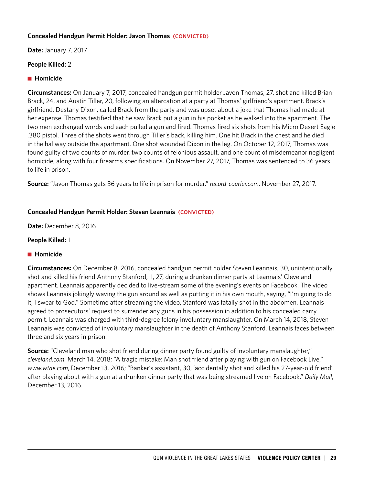## **Concealed Handgun Permit Holder: Javon Thomas (CONVICTED)**

**Date:** January 7, 2017

## **People Killed:** 2

## ■ Homicide

**Circumstances:** On January 7, 2017, concealed handgun permit holder Javon Thomas, 27, shot and killed Brian Brack, 24, and Austin Tiller, 20, following an altercation at a party at Thomas' girlfriend's apartment. Brack's girlfriend, Destany Dixon, called Brack from the party and was upset about a joke that Thomas had made at her expense. Thomas testified that he saw Brack put a gun in his pocket as he walked into the apartment. The two men exchanged words and each pulled a gun and fired. Thomas fired six shots from his Micro Desert Eagle .380 pistol. Three of the shots went through Tiller's back, killing him. One hit Brack in the chest and he died in the hallway outside the apartment. One shot wounded Dixon in the leg. On October 12, 2017, Thomas was found guilty of two counts of murder, two counts of felonious assault, and one count of misdemeanor negligent homicide, along with four firearms specifications. On November 27, 2017, Thomas was sentenced to 36 years to life in prison.

**Source:** "Javon Thomas gets 36 years to life in prison for murder," *record-courier.com*, November 27, 2017.

## **Concealed Handgun Permit Holder: Steven Leannais (CONVICTED)**

**Date:** December 8, 2016

## **People Killed:** 1

#### **n** Homicide

**Circumstances:** On December 8, 2016, concealed handgun permit holder Steven Leannais, 30, unintentionally shot and killed his friend Anthony Stanford, II, 27, during a drunken dinner party at Leannais' Cleveland apartment. Leannais apparently decided to live-stream some of the evening's events on Facebook. The video shows Leannais jokingly waving the gun around as well as putting it in his own mouth, saying, "I'm going to do it, I swear to God." Sometime after streaming the video, Stanford was fatally shot in the abdomen. Leannais agreed to prosecutors' request to surrender any guns in his possession in addition to his concealed carry permit. Leannais was charged with third-degree felony involuntary manslaughter. On March 14, 2018, Steven Leannais was convicted of involuntary manslaughter in the death of Anthony Stanford. Leannais faces between three and six years in prison.

**Source:** "Cleveland man who shot friend during dinner party found guilty of involuntary manslaughter," *cleveland.com*, March 14, 2018; "A tragic mistake: Man shot friend after playing with gun on Facebook Live," *www.wtae.com*, December 13, 2016; "Banker's assistant, 30, 'accidentally shot and killed his 27-year-old friend' after playing about with a gun at a drunken dinner party that was being streamed live on Facebook," *Daily Mail*, December 13, 2016.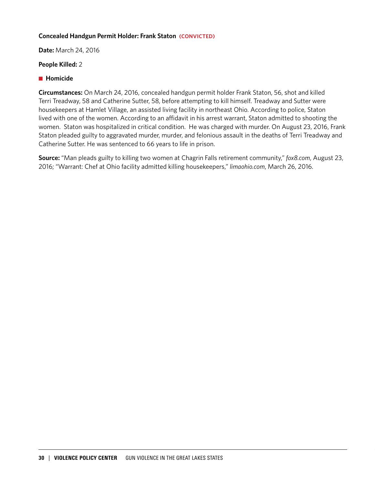#### **Concealed Handgun Permit Holder: Frank Staton (CONVICTED)**

**Date:** March 24, 2016

#### **People Killed:** 2

#### **n** Homicide

**Circumstances:** On March 24, 2016, concealed handgun permit holder Frank Staton, 56, shot and killed Terri Treadway, 58 and Catherine Sutter, 58, before attempting to kill himself. Treadway and Sutter were housekeepers at Hamlet Village, an assisted living facility in northeast Ohio. According to police, Staton lived with one of the women. According to an affidavit in his arrest warrant, Staton admitted to shooting the women. Staton was hospitalized in critical condition. He was charged with murder. On August 23, 2016, Frank Staton pleaded guilty to aggravated murder, murder, and felonious assault in the deaths of Terri Treadway and Catherine Sutter. He was sentenced to 66 years to life in prison.

**Source:** "Man pleads guilty to killing two women at Chagrin Falls retirement community," *fox8.com*, August 23, 2016; "Warrant: Chef at Ohio facility admitted killing housekeepers," *limaohio.com*, March 26, 2016.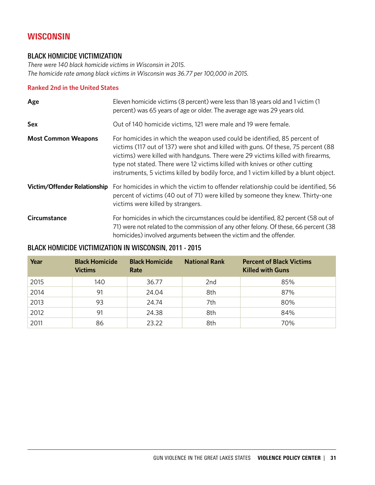# **WISCONSIN**

# BLACK HOMICIDE VICTIMIZATION

*There were 140 black homicide victims in Wisconsin in 2015. The homicide rate among black victims in Wisconsin was 36.77 per 100,000 in 2015.*

# **Ranked 2nd in the United States**

| Age                                 | Eleven homicide victims (8 percent) were less than 18 years old and 1 victim (1<br>percent) was 65 years of age or older. The average age was 29 years old.                                                                                                                                                                                                                                                              |
|-------------------------------------|--------------------------------------------------------------------------------------------------------------------------------------------------------------------------------------------------------------------------------------------------------------------------------------------------------------------------------------------------------------------------------------------------------------------------|
| Sex                                 | Out of 140 homicide victims, 121 were male and 19 were female.                                                                                                                                                                                                                                                                                                                                                           |
| <b>Most Common Weapons</b>          | For homicides in which the weapon used could be identified, 85 percent of<br>victims (117 out of 137) were shot and killed with guns. Of these, 75 percent (88<br>victims) were killed with handguns. There were 29 victims killed with firearms,<br>type not stated. There were 12 victims killed with knives or other cutting<br>instruments, 5 victims killed by bodily force, and 1 victim killed by a blunt object. |
| <b>Victim/Offender Relationship</b> | For homicides in which the victim to offender relationship could be identified, 56<br>percent of victims (40 out of 71) were killed by someone they knew. Thirty-one<br>victims were killed by strangers.                                                                                                                                                                                                                |
| Circumstance                        | For homicides in which the circumstances could be identified, 82 percent (58 out of<br>71) were not related to the commission of any other felony. Of these, 66 percent (38<br>homicides) involved arguments between the victim and the offender.                                                                                                                                                                        |

# BLACK HOMICIDE VICTIMIZATION IN WISCONSIN, 2011 - 2015

| Year | <b>Black Homicide</b><br><b>Victims</b> | <b>Black Homicide</b><br>Rate | <b>National Rank</b> | <b>Percent of Black Victims</b><br><b>Killed with Guns</b> |
|------|-----------------------------------------|-------------------------------|----------------------|------------------------------------------------------------|
| 2015 | 140                                     | 36.77                         | 2nd                  | 85%                                                        |
| 2014 | 91                                      | 24.04                         | 8th                  | 87%                                                        |
| 2013 | 93                                      | 24.74                         | 7th                  | 80%                                                        |
| 2012 | 91                                      | 24.38                         | 8th                  | 84%                                                        |
| 2011 | 86                                      | 23.22                         | 8th                  | 70%                                                        |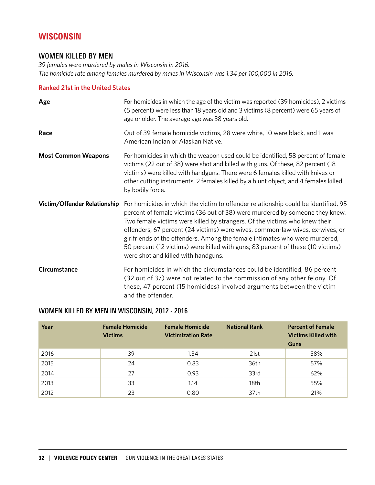# **WISCONSIN**

# WOMEN KILLED BY MEN

*39 females were murdered by males in Wisconsin in 2016. The homicide rate among females murdered by males in Wisconsin was 1.34 per 100,000 in 2016.*

## **Ranked 21st in the United States**

| Age                          | For homicides in which the age of the victim was reported (39 homicides), 2 victims<br>(5 percent) were less than 18 years old and 3 victims (8 percent) were 65 years of<br>age or older. The average age was 38 years old.                                                                                                                                                                                                                                                                                                               |  |  |
|------------------------------|--------------------------------------------------------------------------------------------------------------------------------------------------------------------------------------------------------------------------------------------------------------------------------------------------------------------------------------------------------------------------------------------------------------------------------------------------------------------------------------------------------------------------------------------|--|--|
| Race                         | Out of 39 female homicide victims, 28 were white, 10 were black, and 1 was<br>American Indian or Alaskan Native.                                                                                                                                                                                                                                                                                                                                                                                                                           |  |  |
| <b>Most Common Weapons</b>   | For homicides in which the weapon used could be identified, 58 percent of female<br>victims (22 out of 38) were shot and killed with guns. Of these, 82 percent (18<br>victims) were killed with handguns. There were 6 females killed with knives or<br>other cutting instruments, 2 females killed by a blunt object, and 4 females killed<br>by bodily force.                                                                                                                                                                           |  |  |
| Victim/Offender Relationship | For homicides in which the victim to offender relationship could be identified, 95<br>percent of female victims (36 out of 38) were murdered by someone they knew.<br>Two female victims were killed by strangers. Of the victims who knew their<br>offenders, 67 percent (24 victims) were wives, common-law wives, ex-wives, or<br>girlfriends of the offenders. Among the female intimates who were murdered,<br>50 percent (12 victims) were killed with guns; 83 percent of these (10 victims)<br>were shot and killed with handguns. |  |  |
| Circumstance                 | For homicides in which the circumstances could be identified, 86 percent<br>(32 out of 37) were not related to the commission of any other felony. Of<br>these, 47 percent (15 homicides) involved arguments between the victim<br>and the offender.                                                                                                                                                                                                                                                                                       |  |  |

# WOMEN KILLED BY MEN IN WISCONSIN, 2012 - 2016

| Year | <b>Female Homicide</b><br><b>Victims</b> | <b>Female Homicide</b><br><b>Victimization Rate</b> | <b>National Rank</b> | <b>Percent of Female</b><br><b>Victims Killed with</b><br><b>Guns</b> |
|------|------------------------------------------|-----------------------------------------------------|----------------------|-----------------------------------------------------------------------|
| 2016 | 39                                       | 1.34                                                | 21st                 | 58%                                                                   |
| 2015 | 24                                       | 0.83                                                | 36th                 | 57%                                                                   |
| 2014 | 27                                       | 0.93                                                | 33rd                 | 62%                                                                   |
| 2013 | 33                                       | 1.14                                                | 18th                 | 55%                                                                   |
| 2012 | 23                                       | 0.80                                                | 37th                 | 21%                                                                   |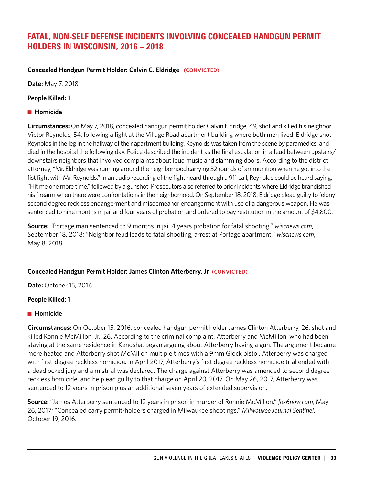# FATAL, NON-SELF DEFENSE INCIDENTS INVOLVING CONCEALED HANDGUN PERMIT HOLDERS IN WISCONSIN, 2016 – 2018

# **Concealed Handgun Permit Holder: Calvin C. Eldridge (CONVICTED)**

**Date:** May 7, 2018

**People Killed:** 1

# **n** Homicide

**Circumstances:** On May 7, 2018, concealed handgun permit holder Calvin Eldridge, 49, shot and killed his neighbor Victor Reynolds, 54, following a fight at the Village Road apartment building where both men lived. Eldridge shot Reynolds in the leg in the hallway of their apartment building. Reynolds was taken from the scene by paramedics, and died in the hospital the following day. Police described the incident as the final escalation in a feud between upstairs/ downstairs neighbors that involved complaints about loud music and slamming doors. According to the district attorney, "Mr. Eldridge was running around the neighborhood carrying 32 rounds of ammunition when he got into the fist fight with Mr. Reynolds." In an audio recording of the fight heard through a 911 call, Reynolds could be heard saying, "Hit me one more time," followed by a gunshot. Prosecutors also referred to prior incidents where Eldridge brandished his firearm when there were confrontations in the neighborhood. On September 18, 2018, Eldridge plead guilty to felony second degree reckless endangerment and misdemeanor endangerment with use of a dangerous weapon. He was sentenced to nine months in jail and four years of probation and ordered to pay restitution in the amount of \$4,800.

**Source:** "Portage man sentenced to 9 months in jail 4 years probation for fatal shooting," *wiscnews.com*, September 18, 2018; "Neighbor feud leads to fatal shooting, arrest at Portage apartment," *wiscnews.com*, May 8, 2018.

# **Concealed Handgun Permit Holder: James Clinton Atterberry, Jr (CONVICTED)**

**Date:** October 15, 2016

# **People Killed:** 1

# **n** Homicide

**Circumstances:** On October 15, 2016, concealed handgun permit holder James Clinton Atterberry, 26, shot and killed Ronnie McMillon, Jr., 26. According to the criminal complaint, Atterberry and McMillon, who had been staying at the same residence in Kenosha, began arguing about Atterberry having a gun. The argument became more heated and Atterberry shot McMillon multiple times with a 9mm Glock pistol. Atterberry was charged with first-degree reckless homicide. In April 2017, Atterberry's first degree reckless homicide trial ended with a deadlocked jury and a mistrial was declared. The charge against Atterberry was amended to second degree reckless homicide, and he plead guilty to that charge on April 20, 2017. On May 26, 2017, Atterberry was sentenced to 12 years in prison plus an additional seven years of extended supervision.

**Source:** "James Atterberry sentenced to 12 years in prison in murder of Ronnie McMillon," *fox6now.com*, May 26, 2017; "Concealed carry permit-holders charged in Milwaukee shootings," *Milwaukee Journal Sentinel*, October 19, 2016.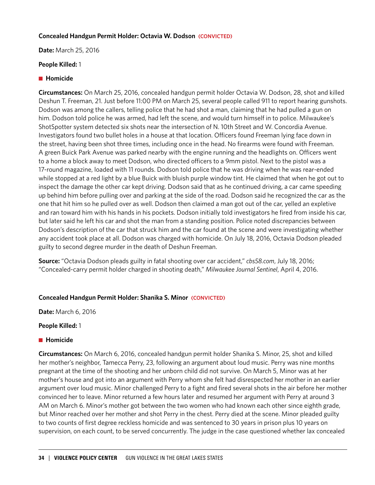#### **Concealed Handgun Permit Holder: Octavia W. Dodson (CONVICTED)**

**Date:** March 25, 2016

## **People Killed:** 1

## ■ Homicide

**Circumstances:** On March 25, 2016, concealed handgun permit holder Octavia W. Dodson, 28, shot and killed Deshun T. Freeman, 21. Just before 11:00 PM on March 25, several people called 911 to report hearing gunshots. Dodson was among the callers, telling police that he had shot a man, claiming that he had pulled a gun on him. Dodson told police he was armed, had left the scene, and would turn himself in to police. Milwaukee's ShotSpotter system detected six shots near the intersection of N. 10th Street and W. Concordia Avenue. Investigators found two bullet holes in a house at that location. Officers found Freeman lying face down in the street, having been shot three times, including once in the head. No firearms were found with Freeman. A green Buick Park Avenue was parked nearby with the engine running and the headlights on. Officers went to a home a block away to meet Dodson, who directed officers to a 9mm pistol. Next to the pistol was a 17-round magazine, loaded with 11 rounds. Dodson told police that he was driving when he was rear-ended while stopped at a red light by a blue Buick with bluish purple window tint. He claimed that when he got out to inspect the damage the other car kept driving. Dodson said that as he continued driving, a car came speeding up behind him before pulling over and parking at the side of the road. Dodson said he recognized the car as the one that hit him so he pulled over as well. Dodson then claimed a man got out of the car, yelled an expletive and ran toward him with his hands in his pockets. Dodson initially told investigators he fired from inside his car, but later said he left his car and shot the man from a standing position. Police noted discrepancies between Dodson's description of the car that struck him and the car found at the scene and were investigating whether any accident took place at all. Dodson was charged with homicide. On July 18, 2016, Octavia Dodson pleaded guilty to second degree murder in the death of Deshun Freeman.

**Source:** "Octavia Dodson pleads guilty in fatal shooting over car accident," *cbs58.com*, July 18, 2016; "Concealed-carry permit holder charged in shooting death," *Milwaukee Journal Sentinel*, April 4, 2016.

# **Concealed Handgun Permit Holder: Shanika S. Minor (CONVICTED)**

**Date:** March 6, 2016

#### **People Killed:** 1

# **n** Homicide

**Circumstances:** On March 6, 2016, concealed handgun permit holder Shanika S. Minor, 25, shot and killed her mother's neighbor, Tamecca Perry, 23, following an argument about loud music. Perry was nine months pregnant at the time of the shooting and her unborn child did not survive. On March 5, Minor was at her mother's house and got into an argument with Perry whom she felt had disrespected her mother in an earlier argument over loud music. Minor challenged Perry to a fight and fired several shots in the air before her mother convinced her to leave. Minor returned a few hours later and resumed her argument with Perry at around 3 AM on March 6. Minor's mother got between the two women who had known each other since eighth grade, but Minor reached over her mother and shot Perry in the chest. Perry died at the scene. Minor pleaded guilty to two counts of first degree reckless homicide and was sentenced to 30 years in prison plus 10 years on supervision, on each count, to be served concurrently. The judge in the case questioned whether lax concealed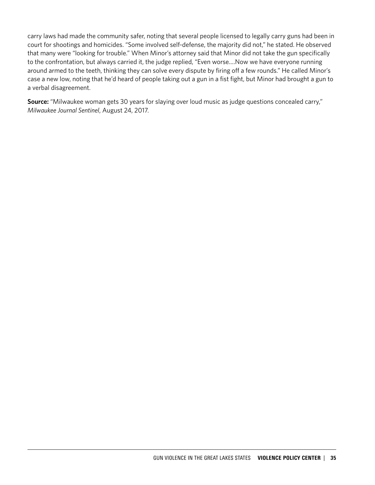carry laws had made the community safer, noting that several people licensed to legally carry guns had been in court for shootings and homicides. "Some involved self-defense, the majority did not," he stated. He observed that many were "looking for trouble." When Minor's attorney said that Minor did not take the gun specifically to the confrontation, but always carried it, the judge replied, "Even worse….Now we have everyone running around armed to the teeth, thinking they can solve every dispute by firing off a few rounds." He called Minor's case a new low, noting that he'd heard of people taking out a gun in a fist fight, but Minor had brought a gun to a verbal disagreement.

**Source:** "Milwaukee woman gets 30 years for slaying over loud music as judge questions concealed carry," *Milwaukee Journal Sentinel*, August 24, 2017.